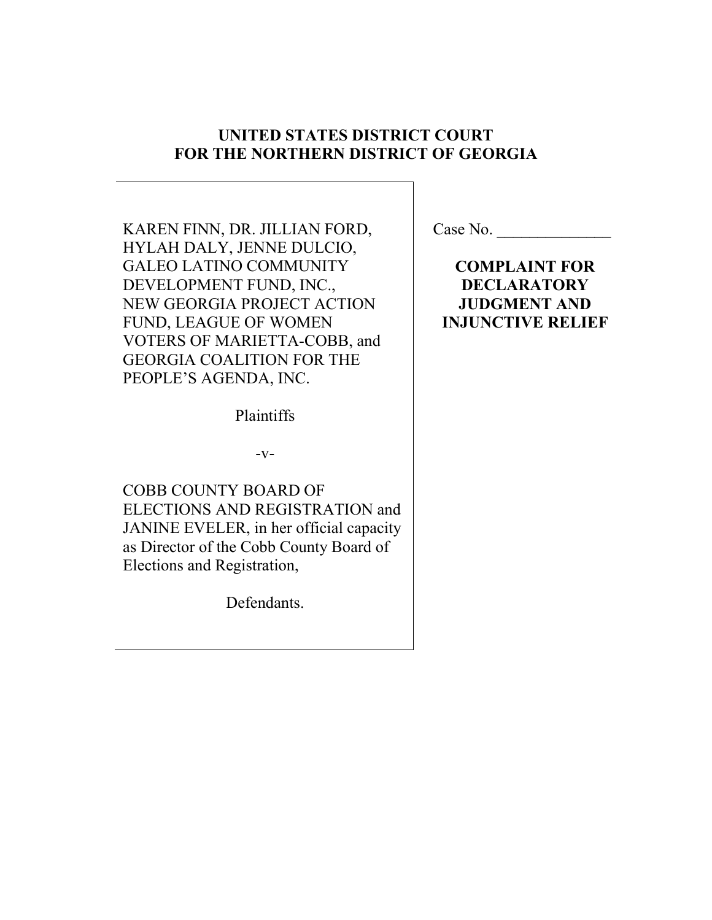## **UNITED STATES DISTRICT COURT FOR THE NORTHERN DISTRICT OF GEORGIA**

KAREN FINN, DR. JILLIAN FORD, HYLAH DALY, JENNE DULCIO, GALEO LATINO COMMUNITY DEVELOPMENT FUND, INC., NEW GEORGIA PROJECT ACTION FUND, LEAGUE OF WOMEN VOTERS OF MARIETTA-COBB, and GEORGIA COALITION FOR THE PEOPLE'S AGENDA, INC.

Plaintiffs

 $-V-$ 

COBB COUNTY BOARD OF ELECTIONS AND REGISTRATION and JANINE EVELER, in her official capacity as Director of the Cobb County Board of Elections and Registration,

Defendants.

**COMPLAINT FOR DECLARATORY JUDGMENT AND INJUNCTIVE RELIEF**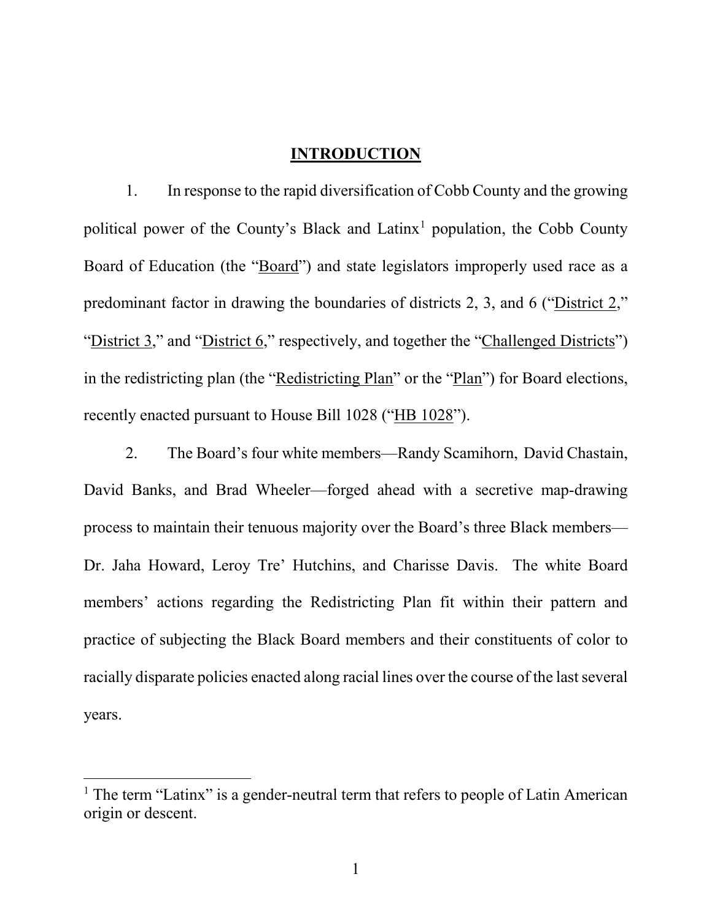### **INTRODUCTION**

1. In response to the rapid diversification of Cobb County and the growing political power of the County's Black and Latinx<sup>1</sup> population, the Cobb County Board of Education (the "Board") and state legislators improperly used race as a predominant factor in drawing the boundaries of districts 2, 3, and 6 ("District 2," "District 3," and "District 6," respectively, and together the "Challenged Districts") in the redistricting plan (the "Redistricting Plan" or the "Plan") for Board elections, recently enacted pursuant to House Bill 1028 ("HB 1028").

2. The Board's four white members—Randy Scamihorn, David Chastain, David Banks, and Brad Wheeler—forged ahead with a secretive map-drawing process to maintain their tenuous majority over the Board's three Black members— Dr. Jaha Howard, Leroy Tre' Hutchins, and Charisse Davis. The white Board members' actions regarding the Redistricting Plan fit within their pattern and practice of subjecting the Black Board members and their constituents of color to racially disparate policies enacted along racial lines over the course of the last several years.

<span id="page-1-0"></span> $1$  The term "Latinx" is a gender-neutral term that refers to people of Latin American origin or descent.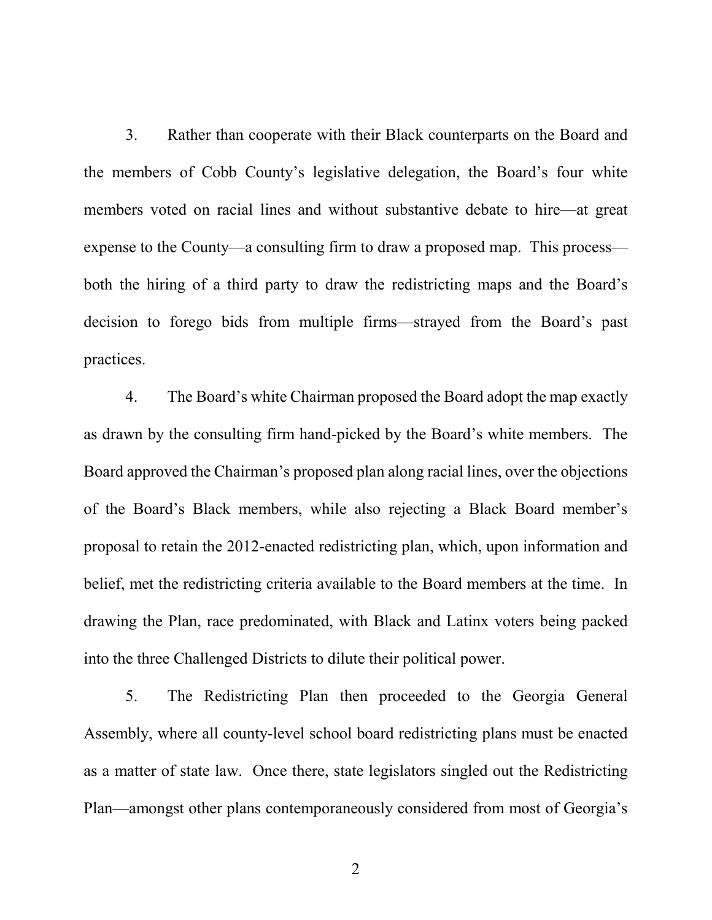3. Rather than cooperate with their Black counterparts on the Board and the members of Cobb County's legislative delegation, the Board's four white members voted on racial lines and without substantive debate to hire—at great expense to the County—a consulting firm to draw a proposed map. This process both the hiring of a third party to draw the redistricting maps and the Board's decision to forego bids from multiple firms—strayed from the Board's past practices.

4. The Board's white Chairman proposed the Board adopt the map exactly as drawn by the consulting firm hand-picked by the Board's white members. The Board approved the Chairman's proposed plan along racial lines, over the objections of the Board's Black members, while also rejecting a Black Board member's proposal to retain the 2012-enacted redistricting plan, which, upon information and belief, met the redistricting criteria available to the Board members at the time. In drawing the Plan, race predominated, with Black and Latinx voters being packed into the three Challenged Districts to dilute their political power.

5. The Redistricting Plan then proceeded to the Georgia General Assembly, where all county-level school board redistricting plans must be enacted as a matter of state law. Once there, state legislators singled out the Redistricting Plan—amongst other plans contemporaneously considered from most of Georgia's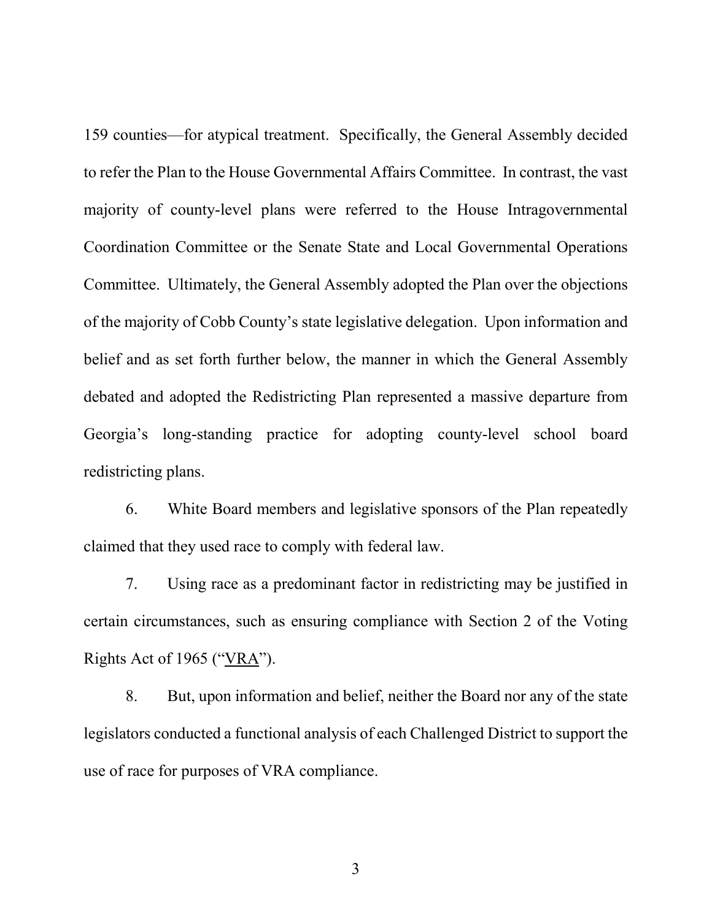159 counties—for atypical treatment. Specifically, the General Assembly decided to refer the Plan to the House Governmental Affairs Committee. In contrast, the vast majority of county-level plans were referred to the House Intragovernmental Coordination Committee or the Senate State and Local Governmental Operations Committee. Ultimately, the General Assembly adopted the Plan over the objections of the majority of Cobb County's state legislative delegation. Upon information and belief and as set forth further below, the manner in which the General Assembly debated and adopted the Redistricting Plan represented a massive departure from Georgia's long-standing practice for adopting county-level school board redistricting plans.

6. White Board members and legislative sponsors of the Plan repeatedly claimed that they used race to comply with federal law.

7. Using race as a predominant factor in redistricting may be justified in certain circumstances, such as ensuring compliance with Section 2 of the Voting Rights Act of 1965 ("VRA").

8. But, upon information and belief, neither the Board nor any of the state legislators conducted a functional analysis of each Challenged District to support the use of race for purposes of VRA compliance.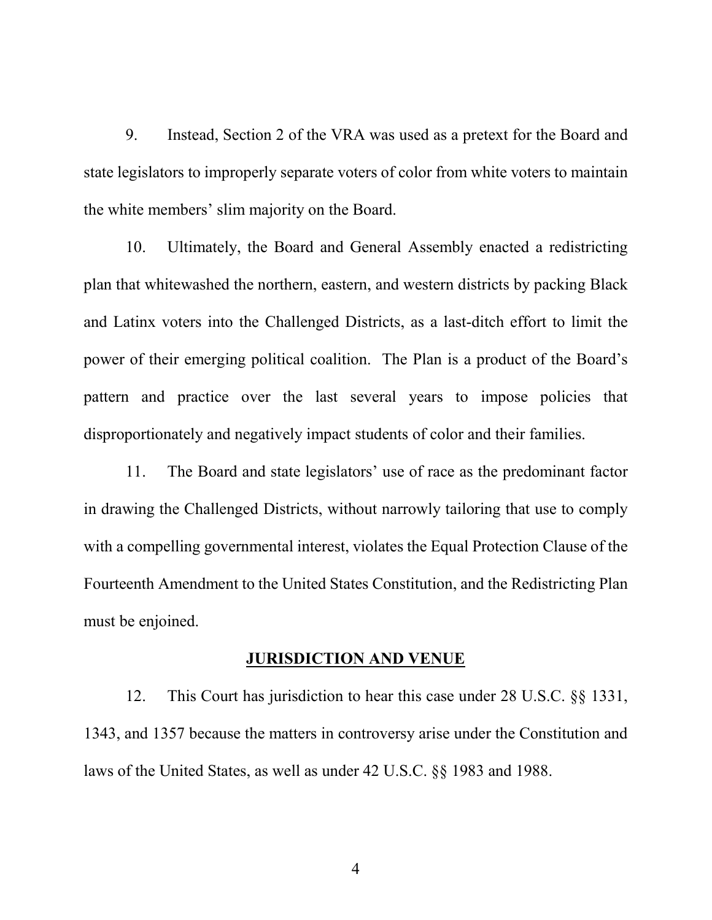9. Instead, Section 2 of the VRA was used as a pretext for the Board and state legislators to improperly separate voters of color from white voters to maintain the white members' slim majority on the Board.

10. Ultimately, the Board and General Assembly enacted a redistricting plan that whitewashed the northern, eastern, and western districts by packing Black and Latinx voters into the Challenged Districts, as a last-ditch effort to limit the power of their emerging political coalition. The Plan is a product of the Board's pattern and practice over the last several years to impose policies that disproportionately and negatively impact students of color and their families.

11. The Board and state legislators' use of race as the predominant factor in drawing the Challenged Districts, without narrowly tailoring that use to comply with a compelling governmental interest, violates the Equal Protection Clause of the Fourteenth Amendment to the United States Constitution, and the Redistricting Plan must be enjoined.

#### **JURISDICTION AND VENUE**

12. This Court has jurisdiction to hear this case under 28 U.S.C. §§ 1331, 1343, and 1357 because the matters in controversy arise under the Constitution and laws of the United States, as well as under 42 U.S.C. §§ 1983 and 1988.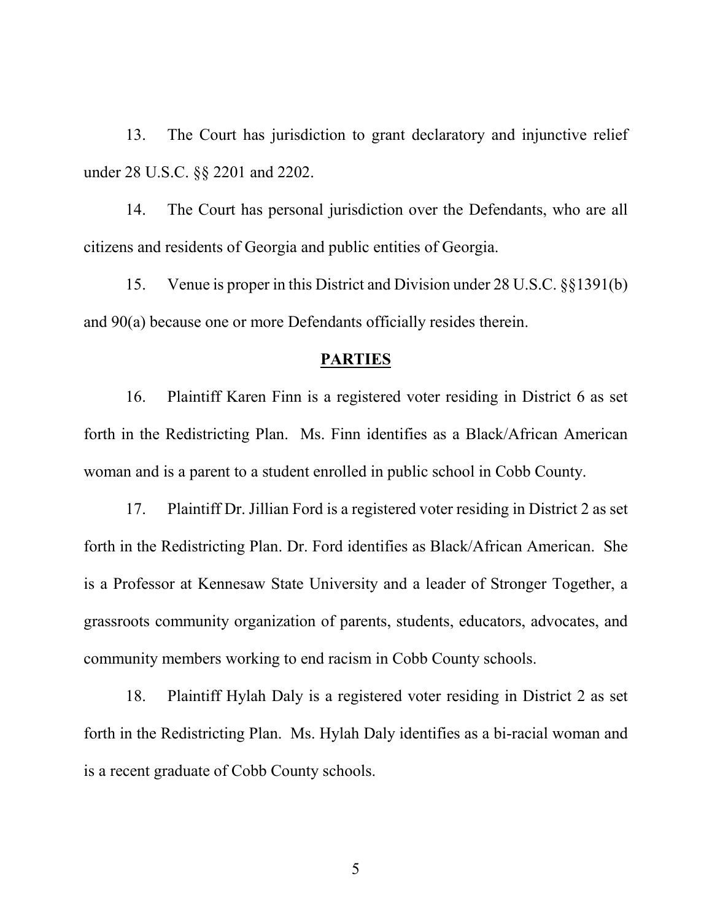13. The Court has jurisdiction to grant declaratory and injunctive relief under 28 U.S.C. §§ 2201 and 2202.

14. The Court has personal jurisdiction over the Defendants, who are all citizens and residents of Georgia and public entities of Georgia.

15. Venue is proper in this District and Division under 28 U.S.C. §§1391(b) and 90(a) because one or more Defendants officially resides therein.

#### **PARTIES**

16. Plaintiff Karen Finn is a registered voter residing in District 6 as set forth in the Redistricting Plan. Ms. Finn identifies as a Black/African American woman and is a parent to a student enrolled in public school in Cobb County.

17. Plaintiff Dr. Jillian Ford is a registered voter residing in District 2 as set forth in the Redistricting Plan. Dr. Ford identifies as Black/African American. She is a Professor at Kennesaw State University and a leader of Stronger Together, a grassroots community organization of parents, students, educators, advocates, and community members working to end racism in Cobb County schools.

18. Plaintiff Hylah Daly is a registered voter residing in District 2 as set forth in the Redistricting Plan. Ms. Hylah Daly identifies as a bi-racial woman and is a recent graduate of Cobb County schools.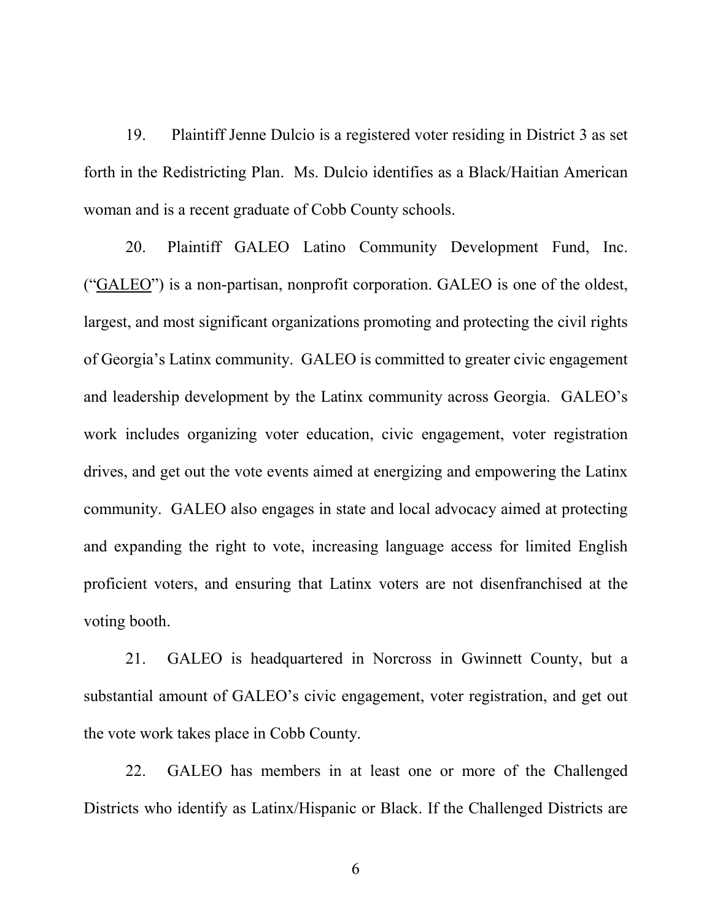19. Plaintiff Jenne Dulcio is a registered voter residing in District 3 as set forth in the Redistricting Plan. Ms. Dulcio identifies as a Black/Haitian American woman and is a recent graduate of Cobb County schools.

20. Plaintiff GALEO Latino Community Development Fund, Inc. ("GALEO") is a non-partisan, nonprofit corporation. GALEO is one of the oldest, largest, and most significant organizations promoting and protecting the civil rights of Georgia's Latinx community. GALEO is committed to greater civic engagement and leadership development by the Latinx community across Georgia. GALEO's work includes organizing voter education, civic engagement, voter registration drives, and get out the vote events aimed at energizing and empowering the Latinx community. GALEO also engages in state and local advocacy aimed at protecting and expanding the right to vote, increasing language access for limited English proficient voters, and ensuring that Latinx voters are not disenfranchised at the voting booth.

21. GALEO is headquartered in Norcross in Gwinnett County, but a substantial amount of GALEO's civic engagement, voter registration, and get out the vote work takes place in Cobb County.

22. GALEO has members in at least one or more of the Challenged Districts who identify as Latinx/Hispanic or Black. If the Challenged Districts are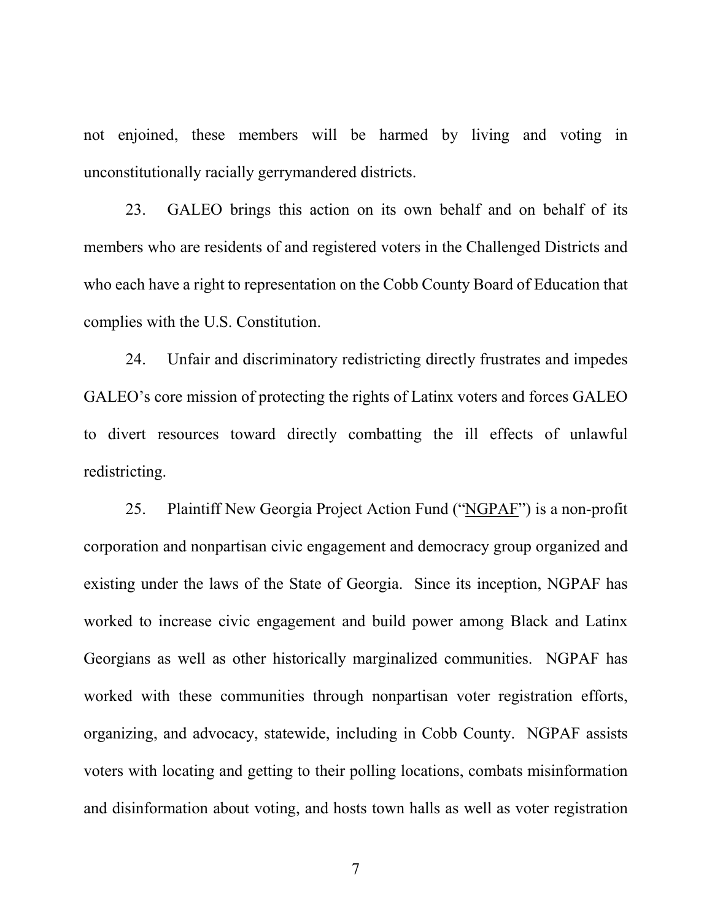not enjoined, these members will be harmed by living and voting in unconstitutionally racially gerrymandered districts.

23. GALEO brings this action on its own behalf and on behalf of its members who are residents of and registered voters in the Challenged Districts and who each have a right to representation on the Cobb County Board of Education that complies with the U.S. Constitution.

24. Unfair and discriminatory redistricting directly frustrates and impedes GALEO's core mission of protecting the rights of Latinx voters and forces GALEO to divert resources toward directly combatting the ill effects of unlawful redistricting.

25. Plaintiff New Georgia Project Action Fund ("NGPAF") is a non-profit corporation and nonpartisan civic engagement and democracy group organized and existing under the laws of the State of Georgia. Since its inception, NGPAF has worked to increase civic engagement and build power among Black and Latinx Georgians as well as other historically marginalized communities. NGPAF has worked with these communities through nonpartisan voter registration efforts, organizing, and advocacy, statewide, including in Cobb County. NGPAF assists voters with locating and getting to their polling locations, combats misinformation and disinformation about voting, and hosts town halls as well as voter registration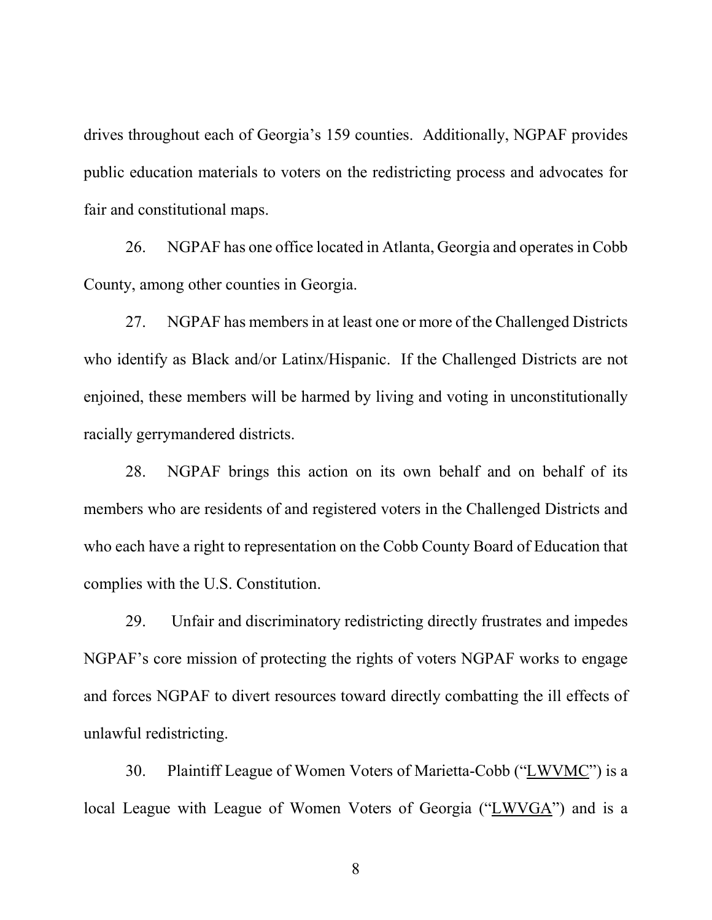drives throughout each of Georgia's 159 counties. Additionally, NGPAF provides public education materials to voters on the redistricting process and advocates for fair and constitutional maps.

26. NGPAF has one office located in Atlanta, Georgia and operates in Cobb County, among other counties in Georgia.

27. NGPAF has members in at least one or more of the Challenged Districts who identify as Black and/or Latinx/Hispanic. If the Challenged Districts are not enjoined, these members will be harmed by living and voting in unconstitutionally racially gerrymandered districts.

28. NGPAF brings this action on its own behalf and on behalf of its members who are residents of and registered voters in the Challenged Districts and who each have a right to representation on the Cobb County Board of Education that complies with the U.S. Constitution.

29. Unfair and discriminatory redistricting directly frustrates and impedes NGPAF's core mission of protecting the rights of voters NGPAF works to engage and forces NGPAF to divert resources toward directly combatting the ill effects of unlawful redistricting.

30. Plaintiff League of Women Voters of Marietta-Cobb ("LWVMC") is a local League with League of Women Voters of Georgia ("LWVGA") and is a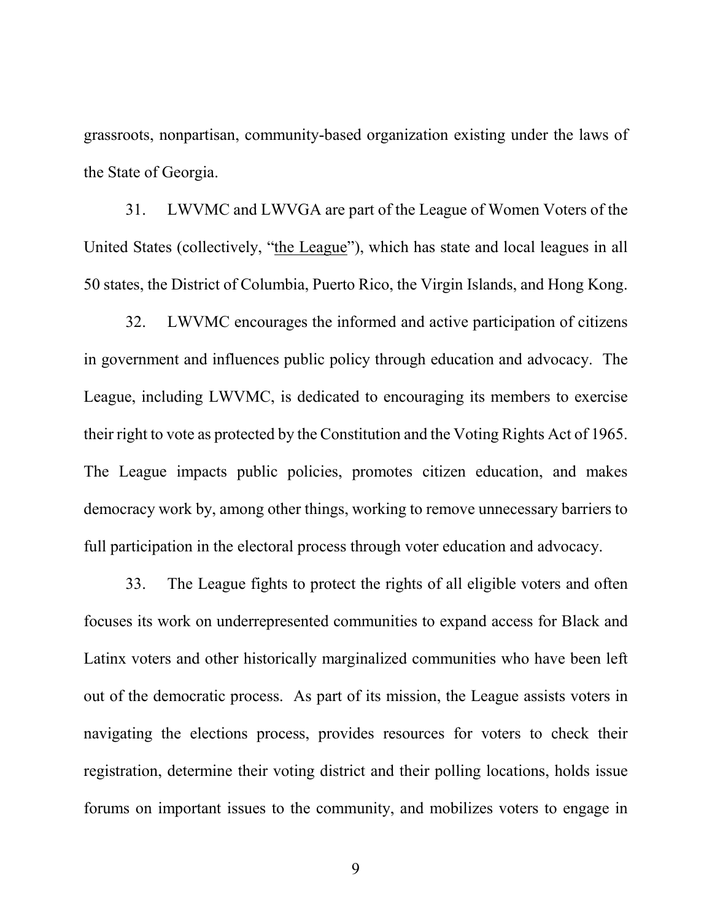grassroots, nonpartisan, community-based organization existing under the laws of the State of Georgia.

31. LWVMC and LWVGA are part of the League of Women Voters of the United States (collectively, "the League"), which has state and local leagues in all 50 states, the District of Columbia, Puerto Rico, the Virgin Islands, and Hong Kong.

32. LWVMC encourages the informed and active participation of citizens in government and influences public policy through education and advocacy. The League, including LWVMC, is dedicated to encouraging its members to exercise their right to vote as protected by the Constitution and the Voting Rights Act of 1965. The League impacts public policies, promotes citizen education, and makes democracy work by, among other things, working to remove unnecessary barriers to full participation in the electoral process through voter education and advocacy.

33. The League fights to protect the rights of all eligible voters and often focuses its work on underrepresented communities to expand access for Black and Latinx voters and other historically marginalized communities who have been left out of the democratic process. As part of its mission, the League assists voters in navigating the elections process, provides resources for voters to check their registration, determine their voting district and their polling locations, holds issue forums on important issues to the community, and mobilizes voters to engage in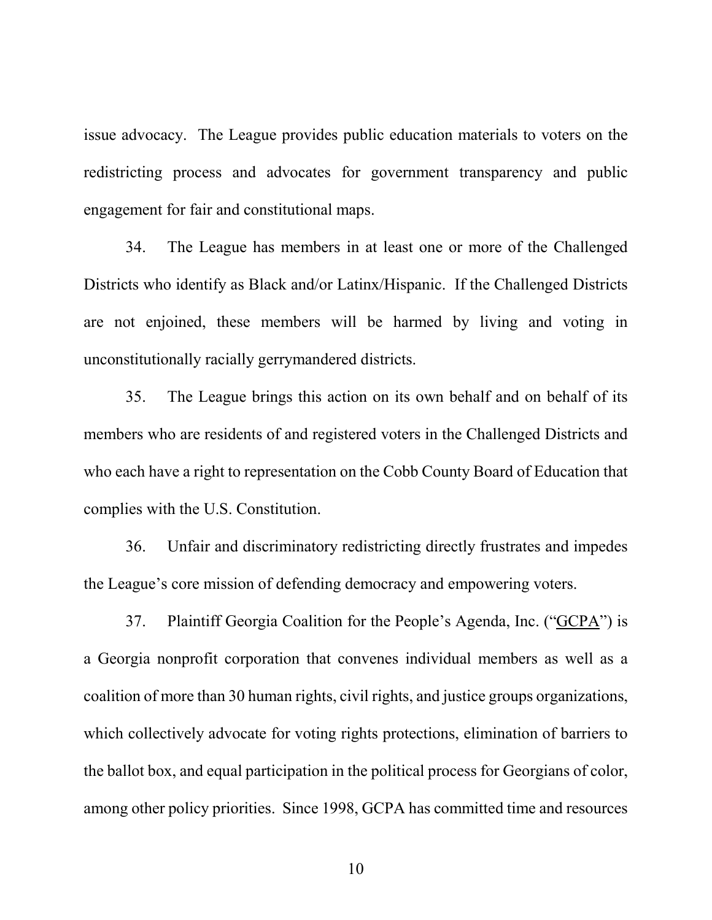issue advocacy. The League provides public education materials to voters on the redistricting process and advocates for government transparency and public engagement for fair and constitutional maps.

34. The League has members in at least one or more of the Challenged Districts who identify as Black and/or Latinx/Hispanic. If the Challenged Districts are not enjoined, these members will be harmed by living and voting in unconstitutionally racially gerrymandered districts.

35. The League brings this action on its own behalf and on behalf of its members who are residents of and registered voters in the Challenged Districts and who each have a right to representation on the Cobb County Board of Education that complies with the U.S. Constitution.

36. Unfair and discriminatory redistricting directly frustrates and impedes the League's core mission of defending democracy and empowering voters.

37. Plaintiff Georgia Coalition for the People's Agenda, Inc. ("GCPA") is a Georgia nonprofit corporation that convenes individual members as well as a coalition of more than 30 human rights, civil rights, and justice groups organizations, which collectively advocate for voting rights protections, elimination of barriers to the ballot box, and equal participation in the political process for Georgians of color, among other policy priorities. Since 1998, GCPA has committed time and resources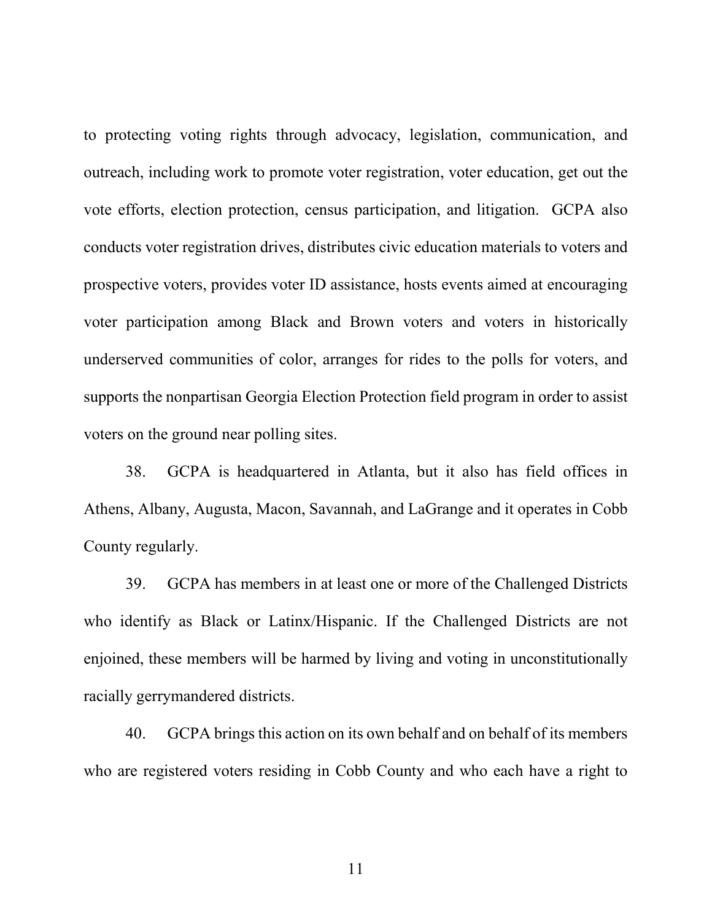to protecting voting rights through advocacy, legislation, communication, and outreach, including work to promote voter registration, voter education, get out the vote efforts, election protection, census participation, and litigation. GCPA also conducts voter registration drives, distributes civic education materials to voters and prospective voters, provides voter ID assistance, hosts events aimed at encouraging voter participation among Black and Brown voters and voters in historically underserved communities of color, arranges for rides to the polls for voters, and supports the nonpartisan Georgia Election Protection field program in order to assist voters on the ground near polling sites.

38. GCPA is headquartered in Atlanta, but it also has field offices in Athens, Albany, Augusta, Macon, Savannah, and LaGrange and it operates in Cobb County regularly.

39. GCPA has members in at least one or more of the Challenged Districts who identify as Black or Latinx/Hispanic. If the Challenged Districts are not enjoined, these members will be harmed by living and voting in unconstitutionally racially gerrymandered districts.

40. GCPA brings this action on its own behalf and on behalf of its members who are registered voters residing in Cobb County and who each have a right to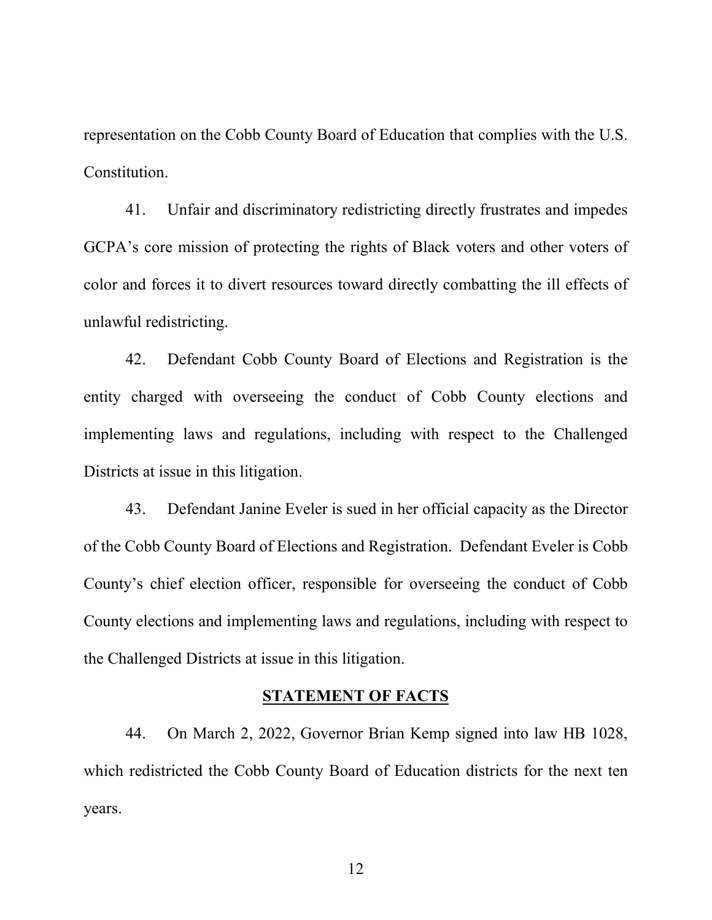representation on the Cobb County Board of Education that complies with the U.S. Constitution.

41. Unfair and discriminatory redistricting directly frustrates and impedes GCPA's core mission of protecting the rights of Black voters and other voters of color and forces it to divert resources toward directly combatting the ill effects of unlawful redistricting.

42. Defendant Cobb County Board of Elections and Registration is the entity charged with overseeing the conduct of Cobb County elections and implementing laws and regulations, including with respect to the Challenged Districts at issue in this litigation.

43. Defendant Janine Eveler is sued in her official capacity as the Director of the Cobb County Board of Elections and Registration. Defendant Eveler is Cobb County's chief election officer, responsible for overseeing the conduct of Cobb County elections and implementing laws and regulations, including with respect to the Challenged Districts at issue in this litigation.

### **STATEMENT OF FACTS**

44. On March 2, 2022, Governor Brian Kemp signed into law HB 1028, which redistricted the Cobb County Board of Education districts for the next ten years.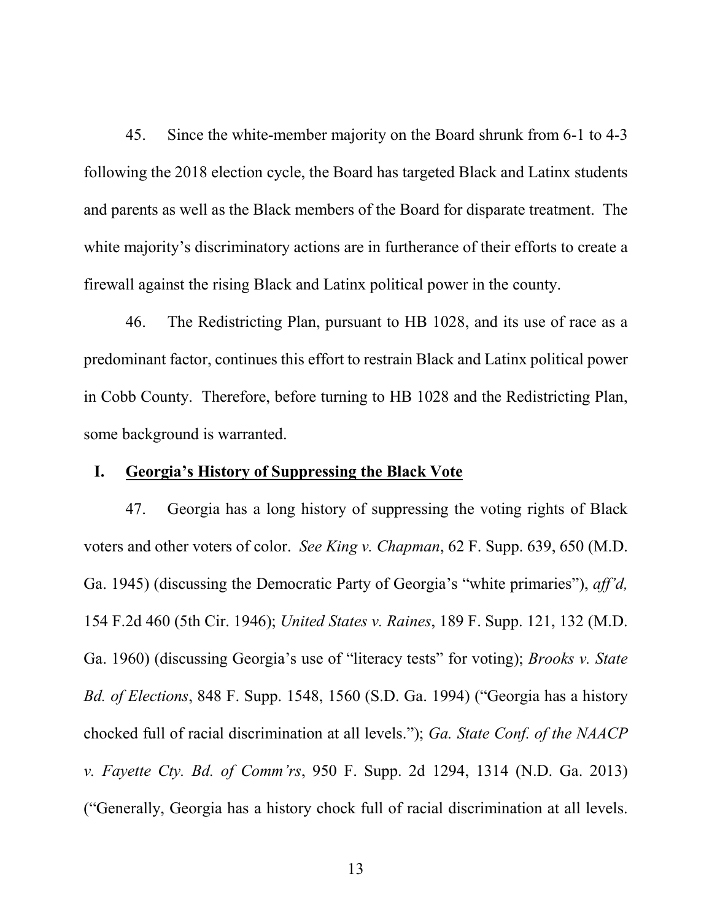45. Since the white-member majority on the Board shrunk from 6-1 to 4-3 following the 2018 election cycle, the Board has targeted Black and Latinx students and parents as well as the Black members of the Board for disparate treatment. The white majority's discriminatory actions are in furtherance of their efforts to create a firewall against the rising Black and Latinx political power in the county.

46. The Redistricting Plan, pursuant to HB 1028, and its use of race as a predominant factor, continues this effort to restrain Black and Latinx political power in Cobb County. Therefore, before turning to HB 1028 and the Redistricting Plan, some background is warranted.

#### **I. Georgia's History of Suppressing the Black Vote**

47. Georgia has a long history of suppressing the voting rights of Black voters and other voters of color. *See King v. Chapman*, 62 F. Supp. 639, 650 (M.D. Ga. 1945) (discussing the Democratic Party of Georgia's "white primaries"), *aff'd,* 154 F.2d 460 (5th Cir. 1946); *United States v. Raines*, 189 F. Supp. 121, 132 (M.D. Ga. 1960) (discussing Georgia's use of "literacy tests" for voting); *Brooks v. State Bd. of Elections*, 848 F. Supp. 1548, 1560 (S.D. Ga. 1994) ("Georgia has a history chocked full of racial discrimination at all levels."); *Ga. State Conf. of the NAACP v. Fayette Cty. Bd. of Comm'rs*, 950 F. Supp. 2d 1294, 1314 (N.D. Ga. 2013) ("Generally, Georgia has a history chock full of racial discrimination at all levels.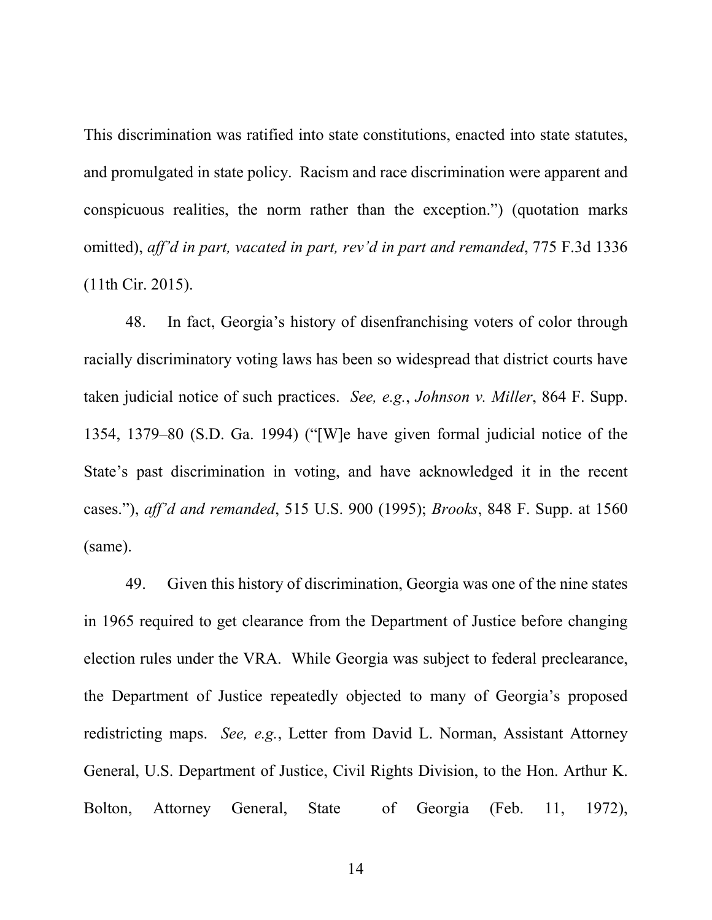This discrimination was ratified into state constitutions, enacted into state statutes, and promulgated in state policy. Racism and race discrimination were apparent and conspicuous realities, the norm rather than the exception.") (quotation marks omitted), *aff'd in part, vacated in part, rev'd in part and remanded*, 775 F.3d 1336 (11th Cir. 2015).

48. In fact, Georgia's history of disenfranchising voters of color through racially discriminatory voting laws has been so widespread that district courts have taken judicial notice of such practices. *See, e.g.*, *Johnson v. Miller*, 864 F. Supp. 1354, 1379–80 (S.D. Ga. 1994) ("[W]e have given formal judicial notice of the State's past discrimination in voting, and have acknowledged it in the recent cases."), *aff'd and remanded*, 515 U.S. 900 (1995); *Brooks*, 848 F. Supp. at 1560 (same).

49. Given this history of discrimination, Georgia was one of the nine states in 1965 required to get clearance from the Department of Justice before changing election rules under the VRA. While Georgia was subject to federal preclearance, the Department of Justice repeatedly objected to many of Georgia's proposed redistricting maps. *See, e.g.*, Letter from David L. Norman, Assistant Attorney General, U.S. Department of Justice, Civil Rights Division, to the Hon. Arthur K. Bolton, Attorney General, State of Georgia (Feb. 11, 1972),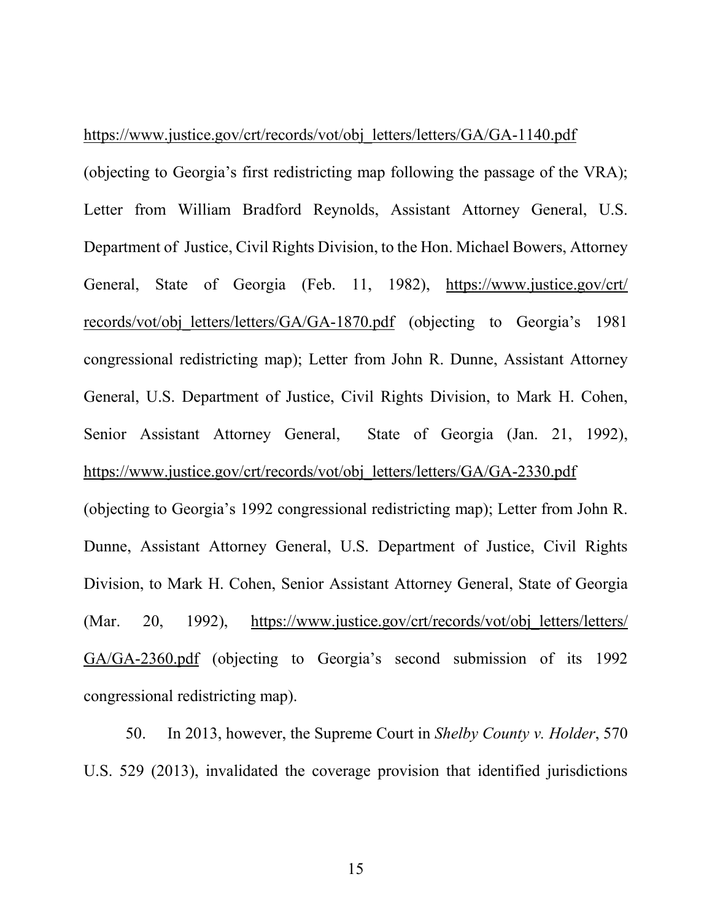#### https://www.justice.gov/crt/records/vot/obj\_letters/letters/GA/GA-1140.pdf

(objecting to Georgia's first redistricting map following the passage of the VRA); Letter from William Bradford Reynolds, Assistant Attorney General, U.S. Department of Justice, Civil Rights Division, to the Hon. Michael Bowers, Attorney General, State of Georgia (Feb. 11, 1982), https://www.justice.gov/crt/ records/vot/obj\_letters/letters/GA/GA-1870.pdf (objecting to Georgia's 1981) congressional redistricting map); Letter from John R. Dunne, Assistant Attorney General, U.S. Department of Justice, Civil Rights Division, to Mark H. Cohen, Senior Assistant Attorney General, State of Georgia (Jan. 21, 1992), https://www.justice.gov/crt/records/vot/obj\_letters/letters/GA/GA-2330.pdf

(objecting to Georgia's 1992 congressional redistricting map); Letter from John R. Dunne, Assistant Attorney General, U.S. Department of Justice, Civil Rights Division, to Mark H. Cohen, Senior Assistant Attorney General, State of Georgia (Mar. 20, 1992), https://www.justice.gov/crt/records/vot/obj letters/letters/ GA/GA-2360.pdf (objecting to Georgia's second submission of its 1992 congressional redistricting map).

50. In 2013, however, the Supreme Court in *Shelby County v. Holder*, 570 U.S. 529 (2013), invalidated the coverage provision that identified jurisdictions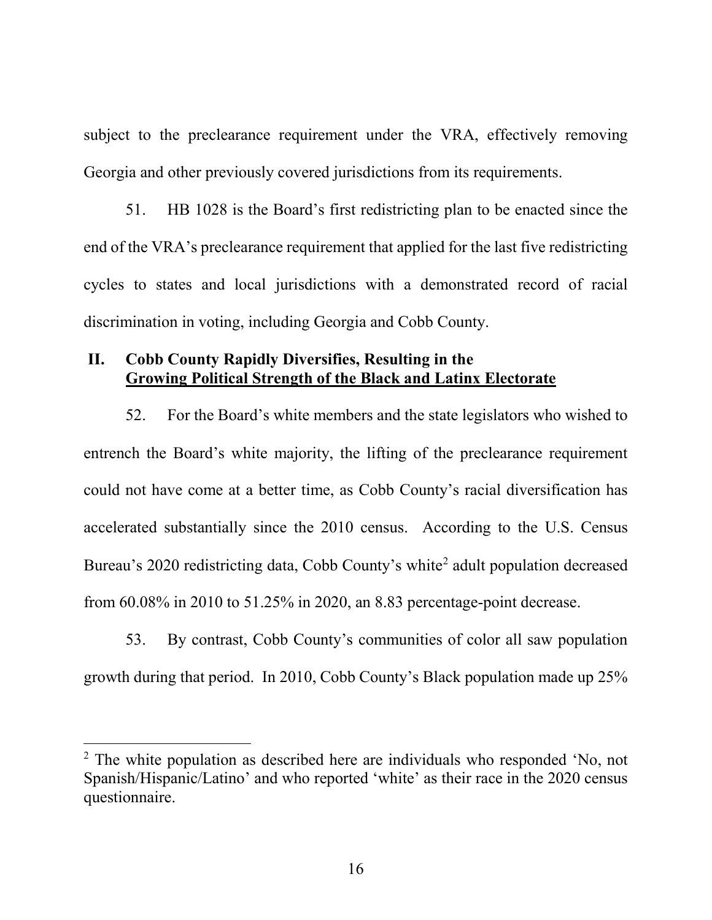subject to the preclearance requirement under the VRA, effectively removing Georgia and other previously covered jurisdictions from its requirements.

51. HB 1028 is the Board's first redistricting plan to be enacted since the end of the VRA's preclearance requirement that applied for the last five redistricting cycles to states and local jurisdictions with a demonstrated record of racial discrimination in voting, including Georgia and Cobb County.

### **II. Cobb County Rapidly Diversifies, Resulting in the Growing Political Strength of the Black and Latinx Electorate**

52. For the Board's white members and the state legislators who wished to entrench the Board's white majority, the lifting of the preclearance requirement could not have come at a better time, as Cobb County's racial diversification has accelerated substantially since the 2010 census. According to the U.S. Census Bureau's [2](#page-16-0)020 redistricting data, Cobb County's white<sup>2</sup> adult population decreased from 60.08% in 2010 to 51.25% in 2020, an 8.83 percentage-point decrease.

53. By contrast, Cobb County's communities of color all saw population growth during that period. In 2010, Cobb County's Black population made up 25%

<span id="page-16-0"></span> <sup>2</sup> The white population as described here are individuals who responded 'No, not Spanish/Hispanic/Latino' and who reported 'white' as their race in the 2020 census questionnaire.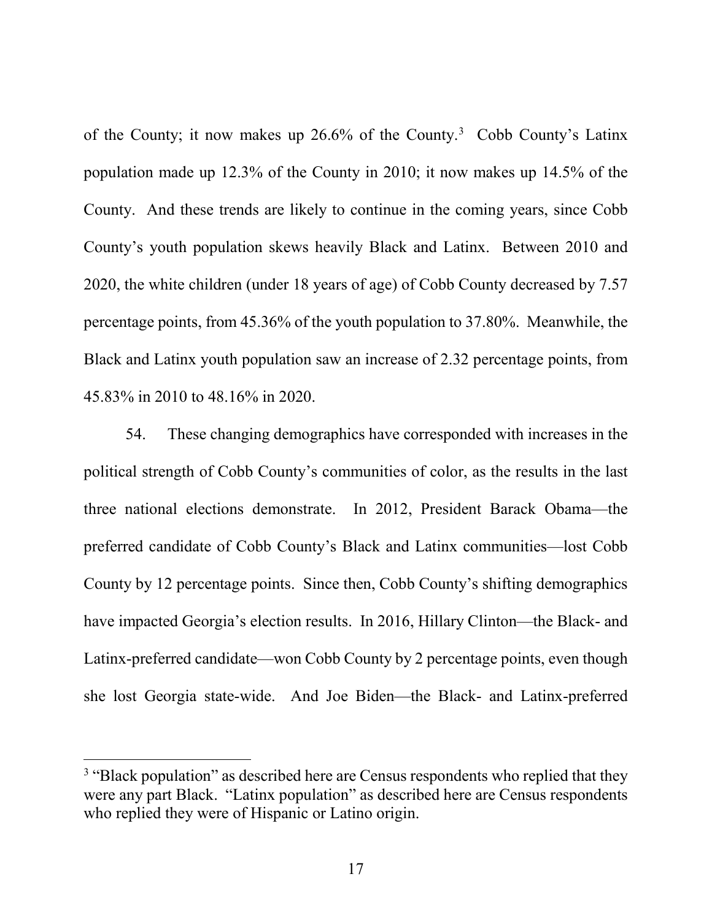of the County; it now makes up 26.6% of the County. [3](#page-17-0) Cobb County's Latinx population made up 12.3% of the County in 2010; it now makes up 14.5% of the County. And these trends are likely to continue in the coming years, since Cobb County's youth population skews heavily Black and Latinx. Between 2010 and 2020, the white children (under 18 years of age) of Cobb County decreased by 7.57 percentage points, from 45.36% of the youth population to 37.80%. Meanwhile, the Black and Latinx youth population saw an increase of 2.32 percentage points, from 45.83% in 2010 to 48.16% in 2020.

54. These changing demographics have corresponded with increases in the political strength of Cobb County's communities of color, as the results in the last three national elections demonstrate. In 2012, President Barack Obama—the preferred candidate of Cobb County's Black and Latinx communities—lost Cobb County by 12 percentage points. Since then, Cobb County's shifting demographics have impacted Georgia's election results. In 2016, Hillary Clinton—the Black- and Latinx-preferred candidate—won Cobb County by 2 percentage points, even though she lost Georgia state-wide. And Joe Biden—the Black- and Latinx-preferred

<span id="page-17-0"></span><sup>&</sup>lt;sup>3</sup> "Black population" as described here are Census respondents who replied that they were any part Black. "Latinx population" as described here are Census respondents who replied they were of Hispanic or Latino origin.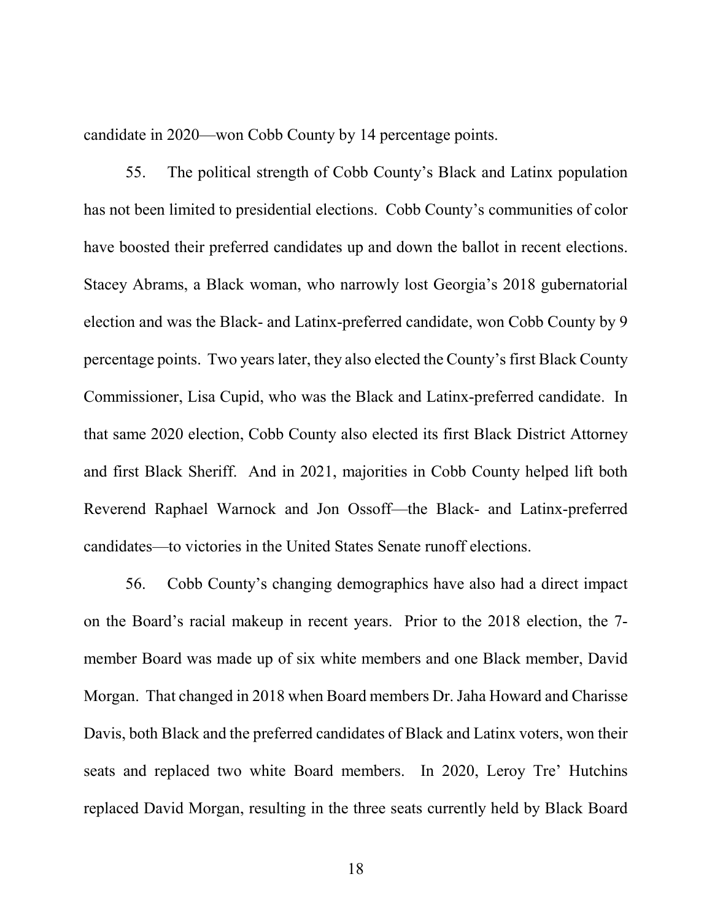candidate in 2020—won Cobb County by 14 percentage points.

55. The political strength of Cobb County's Black and Latinx population has not been limited to presidential elections. Cobb County's communities of color have boosted their preferred candidates up and down the ballot in recent elections. Stacey Abrams, a Black woman, who narrowly lost Georgia's 2018 gubernatorial election and was the Black- and Latinx-preferred candidate, won Cobb County by 9 percentage points. Two years later, they also elected the County's first Black County Commissioner, Lisa Cupid, who was the Black and Latinx-preferred candidate. In that same 2020 election, Cobb County also elected its first Black District Attorney and first Black Sheriff. And in 2021, majorities in Cobb County helped lift both Reverend Raphael Warnock and Jon Ossoff—the Black- and Latinx-preferred candidates—to victories in the United States Senate runoff elections.

56. Cobb County's changing demographics have also had a direct impact on the Board's racial makeup in recent years. Prior to the 2018 election, the 7 member Board was made up of six white members and one Black member, David Morgan. That changed in 2018 when Board members Dr. Jaha Howard and Charisse Davis, both Black and the preferred candidates of Black and Latinx voters, won their seats and replaced two white Board members. In 2020, Leroy Tre' Hutchins replaced David Morgan, resulting in the three seats currently held by Black Board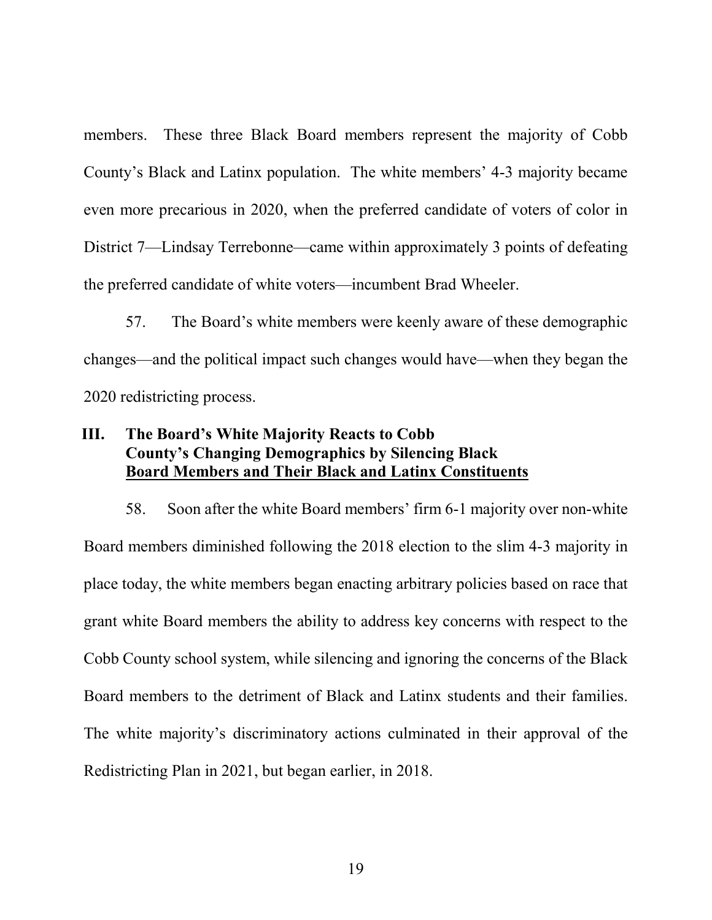members. These three Black Board members represent the majority of Cobb County's Black and Latinx population. The white members' 4-3 majority became even more precarious in 2020, when the preferred candidate of voters of color in District 7—Lindsay Terrebonne—came within approximately 3 points of defeating the preferred candidate of white voters—incumbent Brad Wheeler.

57. The Board's white members were keenly aware of these demographic changes—and the political impact such changes would have—when they began the 2020 redistricting process.

# **III. The Board's White Majority Reacts to Cobb County's Changing Demographics by Silencing Black Board Members and Their Black and Latinx Constituents**

58. Soon after the white Board members' firm 6-1 majority over non-white Board members diminished following the 2018 election to the slim 4-3 majority in place today, the white members began enacting arbitrary policies based on race that grant white Board members the ability to address key concerns with respect to the Cobb County school system, while silencing and ignoring the concerns of the Black Board members to the detriment of Black and Latinx students and their families. The white majority's discriminatory actions culminated in their approval of the Redistricting Plan in 2021, but began earlier, in 2018.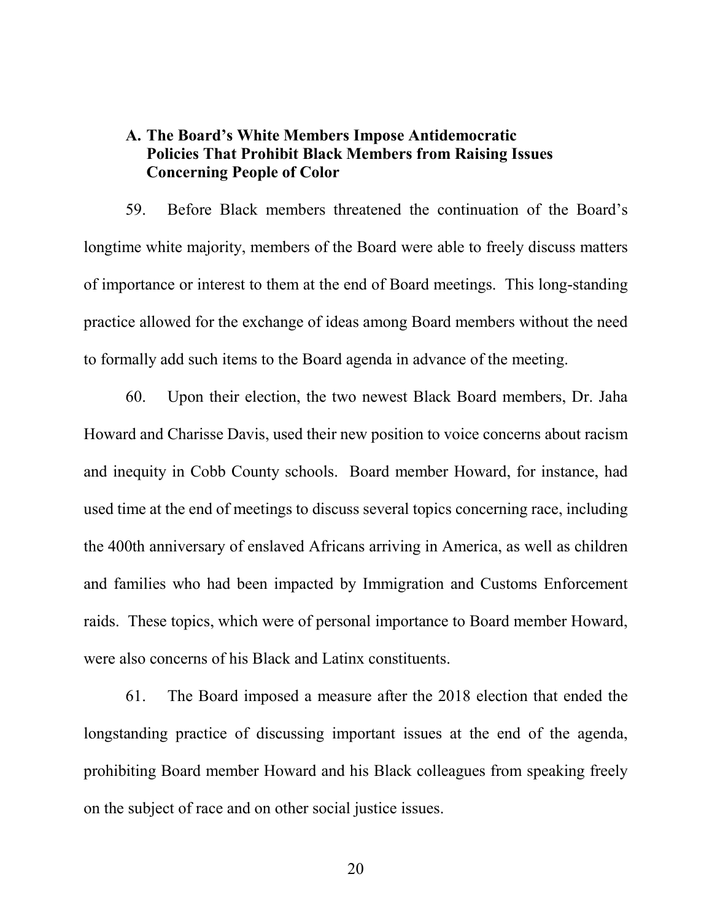## **A. The Board's White Members Impose Antidemocratic Policies That Prohibit Black Members from Raising Issues Concerning People of Color**

59. Before Black members threatened the continuation of the Board's longtime white majority, members of the Board were able to freely discuss matters of importance or interest to them at the end of Board meetings. This long-standing practice allowed for the exchange of ideas among Board members without the need to formally add such items to the Board agenda in advance of the meeting.

60. Upon their election, the two newest Black Board members, Dr. Jaha Howard and Charisse Davis, used their new position to voice concerns about racism and inequity in Cobb County schools. Board member Howard, for instance, had used time at the end of meetings to discuss several topics concerning race, including the 400th anniversary of enslaved Africans arriving in America, as well as children and families who had been impacted by Immigration and Customs Enforcement raids. These topics, which were of personal importance to Board member Howard, were also concerns of his Black and Latinx constituents.

61. The Board imposed a measure after the 2018 election that ended the longstanding practice of discussing important issues at the end of the agenda, prohibiting Board member Howard and his Black colleagues from speaking freely on the subject of race and on other social justice issues.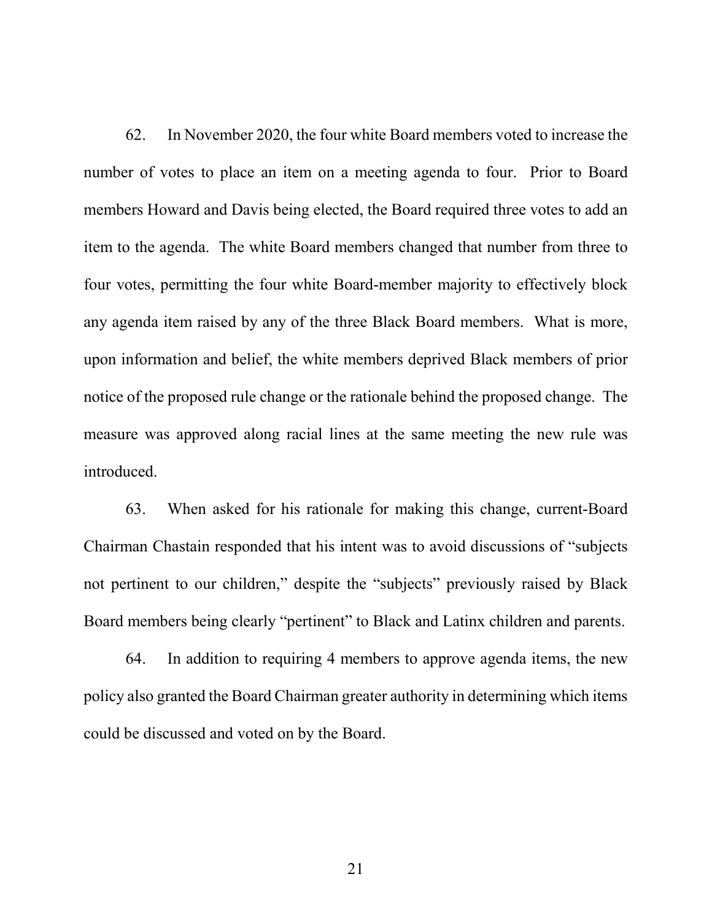62. In November 2020, the four white Board members voted to increase the number of votes to place an item on a meeting agenda to four. Prior to Board members Howard and Davis being elected, the Board required three votes to add an item to the agenda. The white Board members changed that number from three to four votes, permitting the four white Board-member majority to effectively block any agenda item raised by any of the three Black Board members. What is more, upon information and belief, the white members deprived Black members of prior notice of the proposed rule change or the rationale behind the proposed change. The measure was approved along racial lines at the same meeting the new rule was introduced.

63. When asked for his rationale for making this change, current-Board Chairman Chastain responded that his intent was to avoid discussions of "subjects not pertinent to our children," despite the "subjects" previously raised by Black Board members being clearly "pertinent" to Black and Latinx children and parents.

64. In addition to requiring 4 members to approve agenda items, the new policy also granted the Board Chairman greater authority in determining which items could be discussed and voted on by the Board.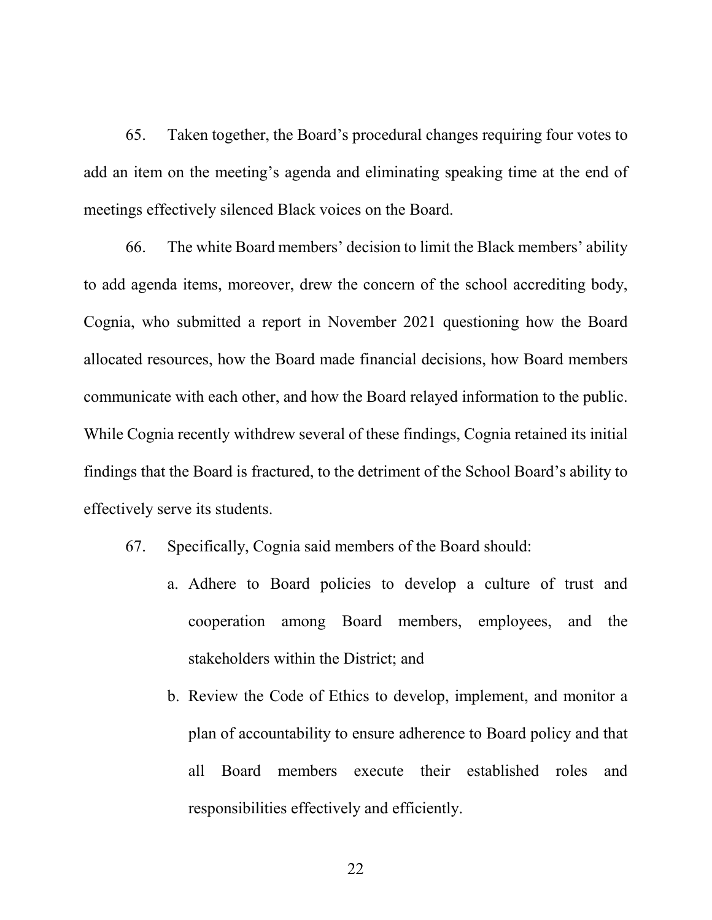65. Taken together, the Board's procedural changes requiring four votes to add an item on the meeting's agenda and eliminating speaking time at the end of meetings effectively silenced Black voices on the Board.

66. The white Board members' decision to limit the Black members' ability to add agenda items, moreover, drew the concern of the school accrediting body, Cognia, who submitted a report in November 2021 questioning how the Board allocated resources, how the Board made financial decisions, how Board members communicate with each other, and how the Board relayed information to the public. While Cognia recently withdrew several of these findings, Cognia retained its initial findings that the Board is fractured, to the detriment of the School Board's ability to effectively serve its students.

- 67. Specifically, Cognia said members of the Board should:
	- a. Adhere to Board policies to develop a culture of trust and cooperation among Board members, employees, and the stakeholders within the District; and
	- b. Review the Code of Ethics to develop, implement, and monitor a plan of accountability to ensure adherence to Board policy and that all Board members execute their established roles and responsibilities effectively and efficiently.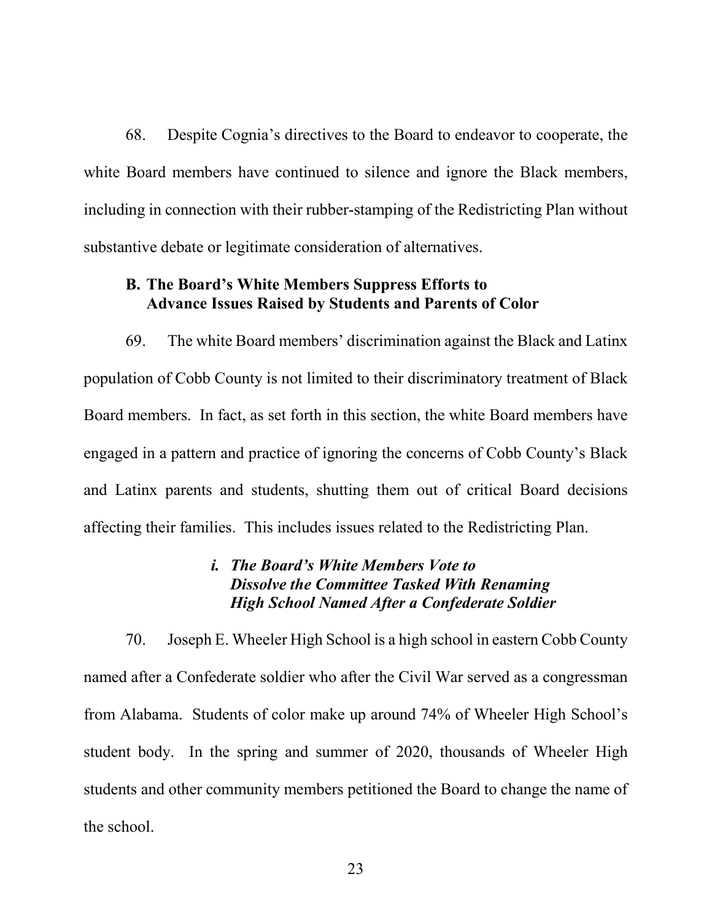68. Despite Cognia's directives to the Board to endeavor to cooperate, the white Board members have continued to silence and ignore the Black members, including in connection with their rubber-stamping of the Redistricting Plan without substantive debate or legitimate consideration of alternatives.

### **B. The Board's White Members Suppress Efforts to Advance Issues Raised by Students and Parents of Color**

69. The white Board members' discrimination against the Black and Latinx population of Cobb County is not limited to their discriminatory treatment of Black Board members. In fact, as set forth in this section, the white Board members have engaged in a pattern and practice of ignoring the concerns of Cobb County's Black and Latinx parents and students, shutting them out of critical Board decisions affecting their families. This includes issues related to the Redistricting Plan.

### *i. The Board's White Members Vote to Dissolve the Committee Tasked With Renaming High School Named After a Confederate Soldier*

70. Joseph E. Wheeler High School is a high school in eastern Cobb County named after a Confederate soldier who after the Civil War served as a congressman from Alabama. Students of color make up around 74% of Wheeler High School's student body. In the spring and summer of 2020, thousands of Wheeler High students and other community members petitioned the Board to change the name of the school.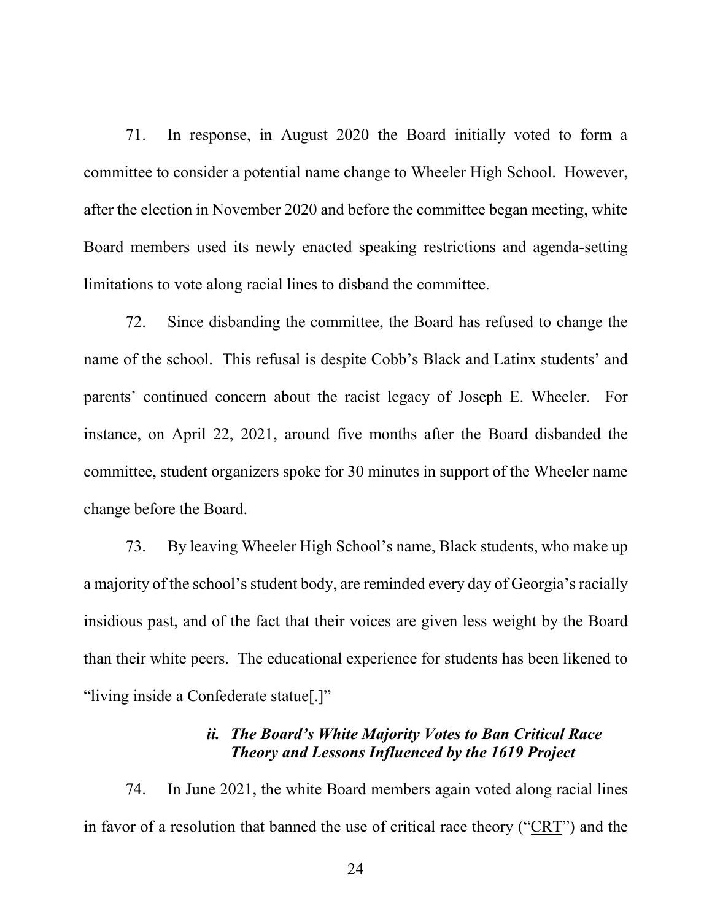71. In response, in August 2020 the Board initially voted to form a committee to consider a potential name change to Wheeler High School. However, after the election in November 2020 and before the committee began meeting, white Board members used its newly enacted speaking restrictions and agenda-setting limitations to vote along racial lines to disband the committee.

72. Since disbanding the committee, the Board has refused to change the name of the school. This refusal is despite Cobb's Black and Latinx students' and parents' continued concern about the racist legacy of Joseph E. Wheeler. For instance, on April 22, 2021, around five months after the Board disbanded the committee, student organizers spoke for 30 minutes in support of the Wheeler name change before the Board.

73. By leaving Wheeler High School's name, Black students, who make up a majority of the school's student body, are reminded every day of Georgia's racially insidious past, and of the fact that their voices are given less weight by the Board than their white peers. The educational experience for students has been likened to "living inside a Confederate statue[.]"

## *ii. The Board's White Majority Votes to Ban Critical Race Theory and Lessons Influenced by the 1619 Project*

74. In June 2021, the white Board members again voted along racial lines in favor of a resolution that banned the use of critical race theory ("CRT") and the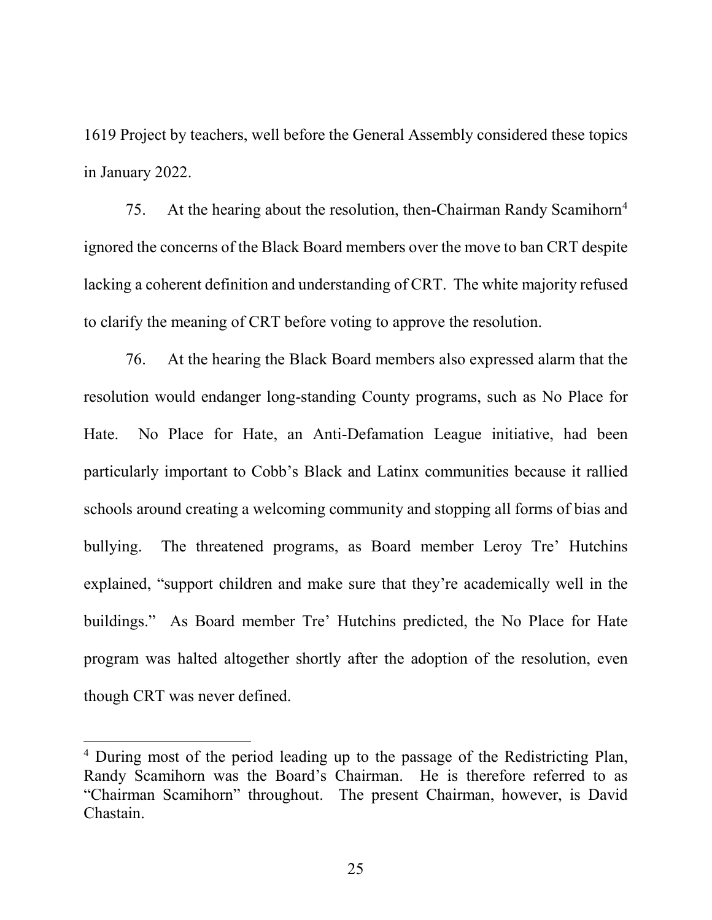1619 Project by teachers, well before the General Assembly considered these topics in January 2022.

75. At the hearing about the resolution, then-Chairman Randy Scamihorn<sup>4</sup> ignored the concerns of the Black Board members over the move to ban CRT despite lacking a coherent definition and understanding of CRT. The white majority refused to clarify the meaning of CRT before voting to approve the resolution.

76. At the hearing the Black Board members also expressed alarm that the resolution would endanger long-standing County programs, such as No Place for Hate. No Place for Hate, an Anti-Defamation League initiative, had been particularly important to Cobb's Black and Latinx communities because it rallied schools around creating a welcoming community and stopping all forms of bias and bullying. The threatened programs, as Board member Leroy Tre' Hutchins explained, "support children and make sure that they're academically well in the buildings." As Board member Tre' Hutchins predicted, the No Place for Hate program was halted altogether shortly after the adoption of the resolution, even though CRT was never defined.

<span id="page-25-0"></span><sup>&</sup>lt;sup>4</sup> During most of the period leading up to the passage of the Redistricting Plan, Randy Scamihorn was the Board's Chairman. He is therefore referred to as "Chairman Scamihorn" throughout. The present Chairman, however, is David Chastain.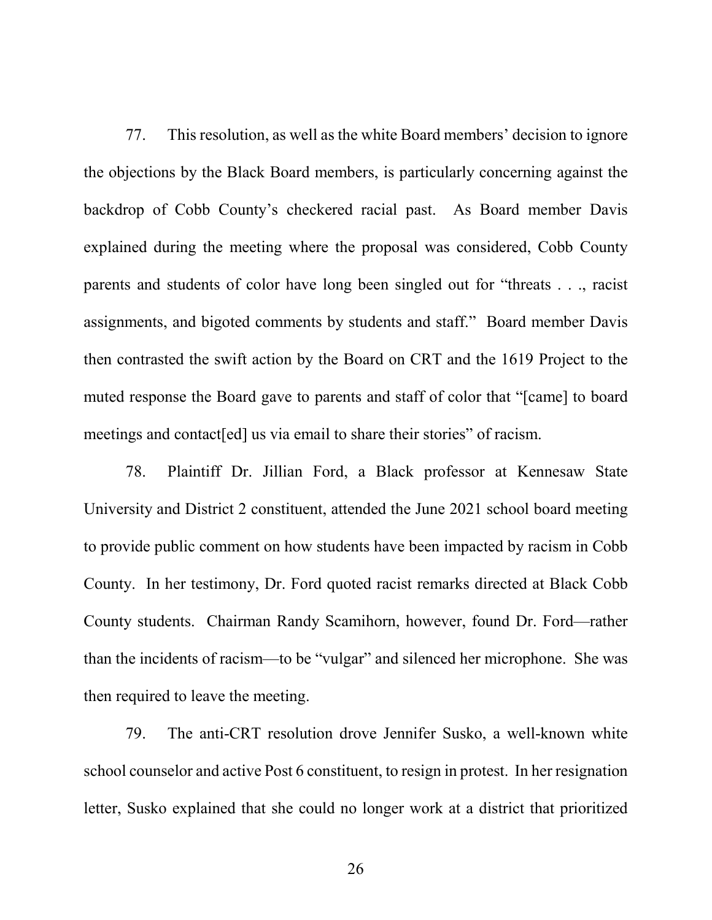77. This resolution, as well as the white Board members' decision to ignore the objections by the Black Board members, is particularly concerning against the backdrop of Cobb County's checkered racial past. As Board member Davis explained during the meeting where the proposal was considered, Cobb County parents and students of color have long been singled out for "threats . . ., racist assignments, and bigoted comments by students and staff." Board member Davis then contrasted the swift action by the Board on CRT and the 1619 Project to the muted response the Board gave to parents and staff of color that "[came] to board meetings and contact [ed] us via email to share their stories" of racism.

78. Plaintiff Dr. Jillian Ford, a Black professor at Kennesaw State University and District 2 constituent, attended the June 2021 school board meeting to provide public comment on how students have been impacted by racism in Cobb County. In her testimony, Dr. Ford quoted racist remarks directed at Black Cobb County students. Chairman Randy Scamihorn, however, found Dr. Ford—rather than the incidents of racism—to be "vulgar" and silenced her microphone. She was then required to leave the meeting.

79. The anti-CRT resolution drove Jennifer Susko, a well-known white school counselor and active Post 6 constituent, to resign in protest. In her resignation letter, Susko explained that she could no longer work at a district that prioritized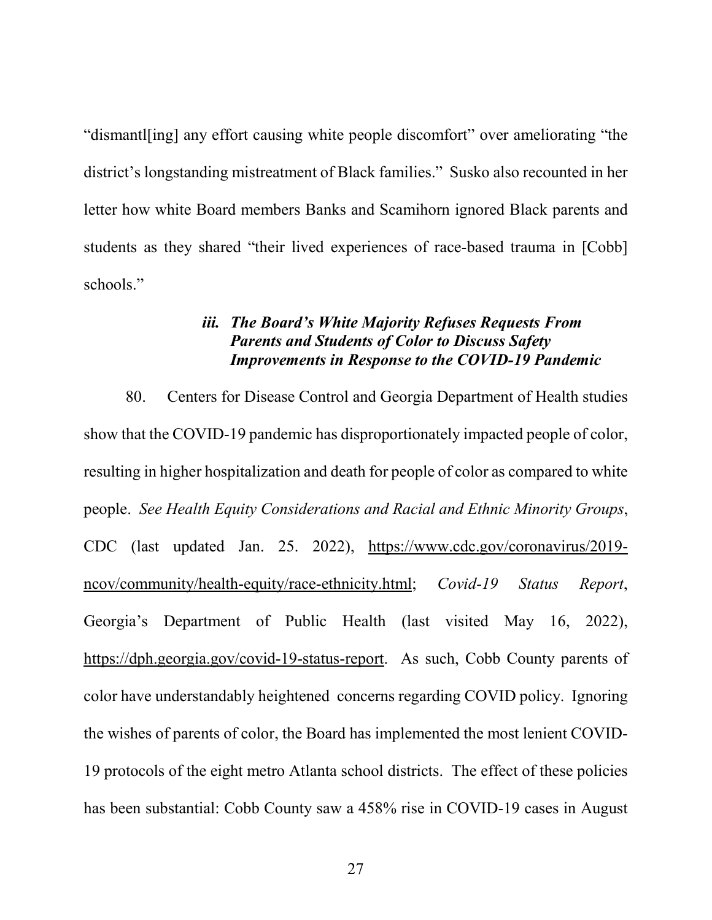"dismantl[ing] any effort causing white people discomfort" over ameliorating "the district's longstanding mistreatment of Black families." Susko also recounted in her letter how white Board members Banks and Scamihorn ignored Black parents and students as they shared "their lived experiences of race-based trauma in [Cobb] schools."

## *iii. The Board's White Majority Refuses Requests From Parents and Students of Color to Discuss Safety Improvements in Response to the COVID-19 Pandemic*

80. Centers for Disease Control and Georgia Department of Health studies show that the COVID-19 pandemic has disproportionately impacted people of color, resulting in higher hospitalization and death for people of color as compared to white people. *See Health Equity Considerations and Racial and Ethnic Minority Groups*, CDC (last updated Jan. 25. 2022), https://www.cdc.gov/coronavirus/2019 ncov/community/health-equity/race-ethnicity.html; *Covid-19 Status Report*, Georgia's Department of Public Health (last visited May 16, 2022), https://dph.georgia.gov/covid-19-status-report. As such, Cobb County parents of color have understandably heightened concerns regarding COVID policy. Ignoring the wishes of parents of color, the Board has implemented the most lenient COVID-19 protocols of the eight metro Atlanta school districts. The effect of these policies has been substantial: Cobb County saw a 458% rise in COVID-19 cases in August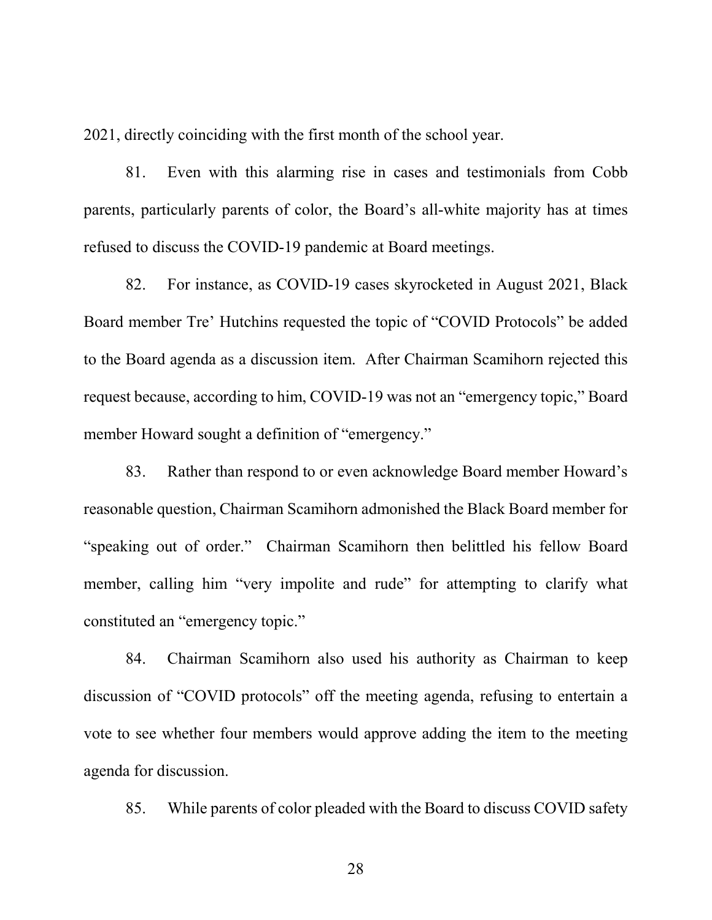2021, directly coinciding with the first month of the school year.

81. Even with this alarming rise in cases and testimonials from Cobb parents, particularly parents of color, the Board's all-white majority has at times refused to discuss the COVID-19 pandemic at Board meetings.

82. For instance, as COVID-19 cases skyrocketed in August 2021, Black Board member Tre' Hutchins requested the topic of "COVID Protocols" be added to the Board agenda as a discussion item. After Chairman Scamihorn rejected this request because, according to him, COVID-19 was not an "emergency topic," Board member Howard sought a definition of "emergency."

83. Rather than respond to or even acknowledge Board member Howard's reasonable question, Chairman Scamihorn admonished the Black Board member for "speaking out of order." Chairman Scamihorn then belittled his fellow Board member, calling him "very impolite and rude" for attempting to clarify what constituted an "emergency topic."

84. Chairman Scamihorn also used his authority as Chairman to keep discussion of "COVID protocols" off the meeting agenda, refusing to entertain a vote to see whether four members would approve adding the item to the meeting agenda for discussion.

85. While parents of color pleaded with the Board to discuss COVID safety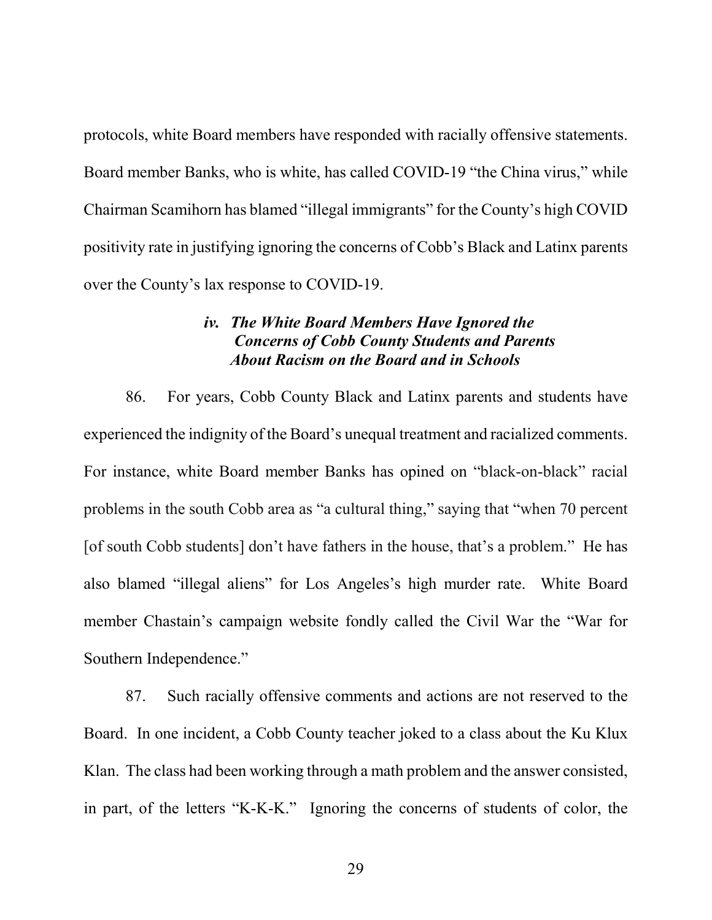protocols, white Board members have responded with racially offensive statements. Board member Banks, who is white, has called COVID-19 "the China virus," while Chairman Scamihorn has blamed "illegal immigrants" for the County's high COVID positivity rate in justifying ignoring the concerns of Cobb's Black and Latinx parents over the County's lax response to COVID-19.

### *iv. The White Board Members Have Ignored the Concerns of Cobb County Students and Parents About Racism on the Board and in Schools*

86. For years, Cobb County Black and Latinx parents and students have experienced the indignity of the Board's unequal treatment and racialized comments. For instance, white Board member Banks has opined on "black-on-black" racial problems in the south Cobb area as "a cultural thing," saying that "when 70 percent [of south Cobb students] don't have fathers in the house, that's a problem." He has also blamed "illegal aliens" for Los Angeles's high murder rate. White Board member Chastain's campaign website fondly called the Civil War the "War for Southern Independence."

87. Such racially offensive comments and actions are not reserved to the Board. In one incident, a Cobb County teacher joked to a class about the Ku Klux Klan. The class had been working through a math problem and the answer consisted, in part, of the letters "K-K-K." Ignoring the concerns of students of color, the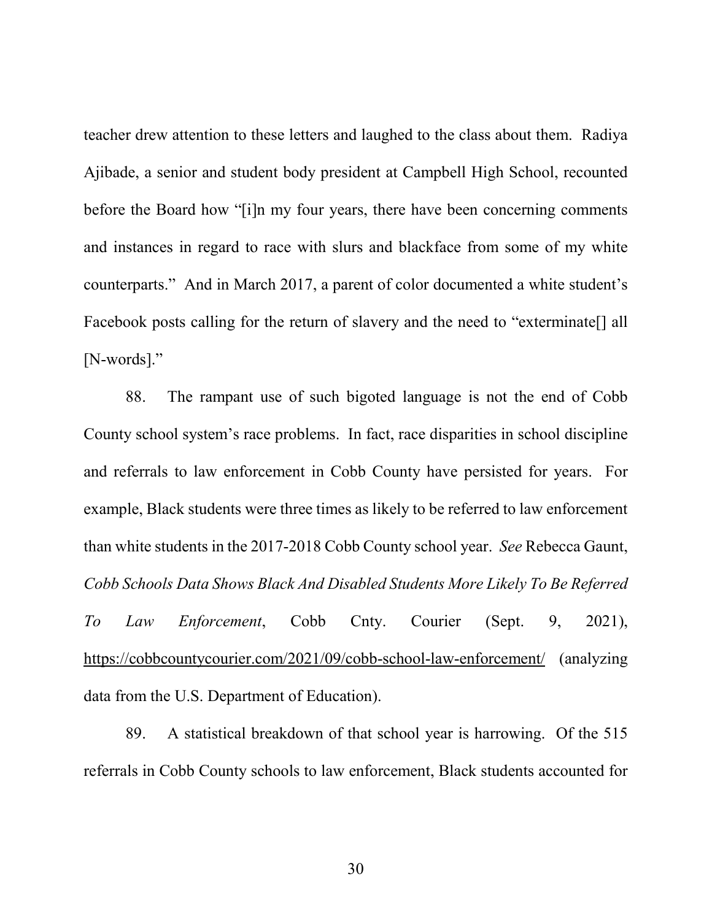teacher drew attention to these letters and laughed to the class about them. Radiya Ajibade, a senior and student body president at Campbell High School, recounted before the Board how "[i]n my four years, there have been concerning comments and instances in regard to race with slurs and blackface from some of my white counterparts." And in March 2017, a parent of color documented a white student's Facebook posts calling for the return of slavery and the need to "exterminate[] all [N-words]."

88. The rampant use of such bigoted language is not the end of Cobb County school system's race problems. In fact, race disparities in school discipline and referrals to law enforcement in Cobb County have persisted for years. For example, Black students were three times as likely to be referred to law enforcement than white students in the 2017-2018 Cobb County school year. *See* Rebecca Gaunt, *Cobb Schools Data Shows Black And Disabled Students More Likely To Be Referred To Law Enforcement*, Cobb Cnty. Courier (Sept. 9, 2021), https://cobbcountycourier.com/2021/09/cobb-school-law-enforcement/ (analyzing data from the U.S. Department of Education).

89. A statistical breakdown of that school year is harrowing. Of the 515 referrals in Cobb County schools to law enforcement, Black students accounted for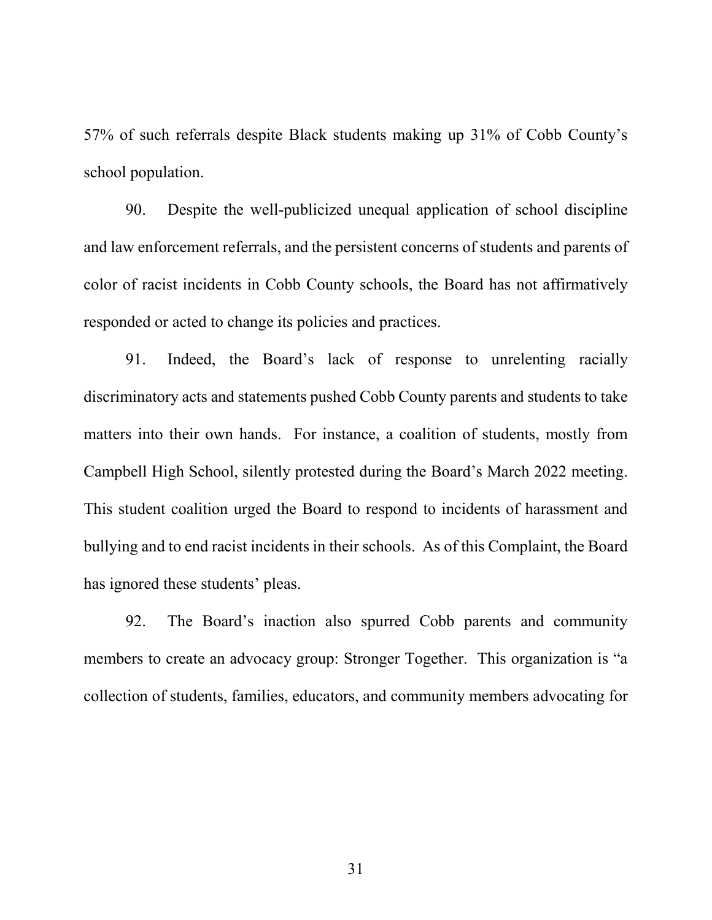57% of such referrals despite Black students making up 31% of Cobb County's school population.

90. Despite the well-publicized unequal application of school discipline and law enforcement referrals, and the persistent concerns of students and parents of color of racist incidents in Cobb County schools, the Board has not affirmatively responded or acted to change its policies and practices.

91. Indeed, the Board's lack of response to unrelenting racially discriminatory acts and statements pushed Cobb County parents and students to take matters into their own hands. For instance, a coalition of students, mostly from Campbell High School, silently protested during the Board's March 2022 meeting. This student coalition urged the Board to respond to incidents of harassment and bullying and to end racist incidents in their schools. As of this Complaint, the Board has ignored these students' pleas.

92. The Board's inaction also spurred Cobb parents and community members to create an advocacy group: Stronger Together. This organization is "a collection of students, families, educators, and community members advocating for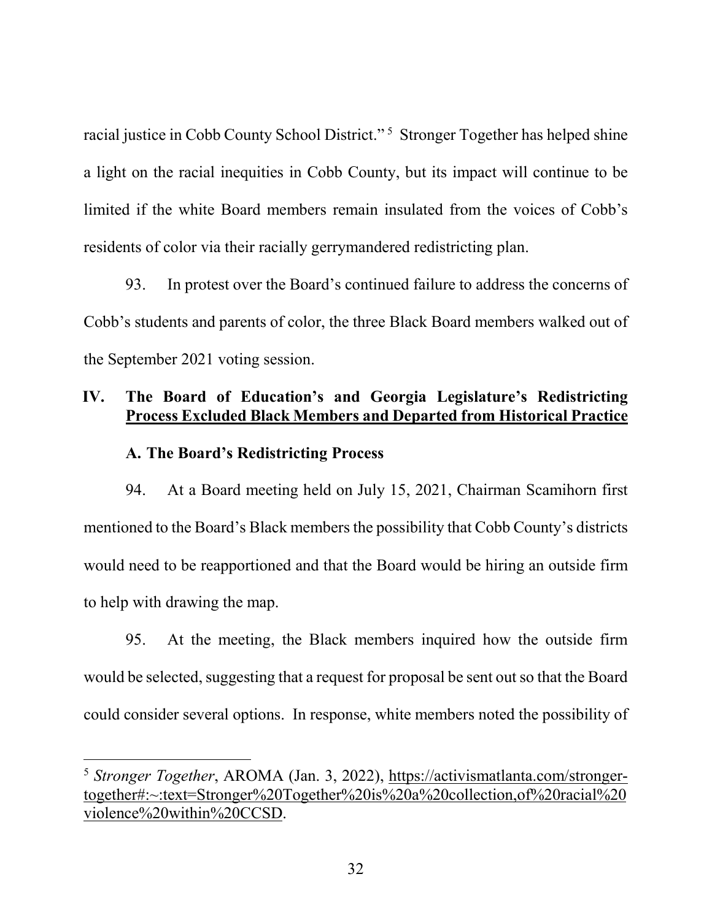racial justice in Cobb County School District."<sup>[5](#page-32-0)</sup> Stronger Together has helped shine a light on the racial inequities in Cobb County, but its impact will continue to be limited if the white Board members remain insulated from the voices of Cobb's residents of color via their racially gerrymandered redistricting plan.

93. In protest over the Board's continued failure to address the concerns of Cobb's students and parents of color, the three Black Board members walked out of the September 2021 voting session.

## **IV. The Board of Education's and Georgia Legislature's Redistricting Process Excluded Black Members and Departed from Historical Practice**

### **A. The Board's Redistricting Process**

94. At a Board meeting held on July 15, 2021, Chairman Scamihorn first mentioned to the Board's Black members the possibility that Cobb County's districts would need to be reapportioned and that the Board would be hiring an outside firm to help with drawing the map.

95. At the meeting, the Black members inquired how the outside firm would be selected, suggesting that a request for proposal be sent out so that the Board could consider several options. In response, white members noted the possibility of

<span id="page-32-0"></span> <sup>5</sup> *Stronger Together*, AROMA (Jan. 3, 2022), https://activismatlanta.com/strongertogether#:~:text=Stronger%20Together%20is%20a%20collection,of%20racial%20 violence%20within%20CCSD.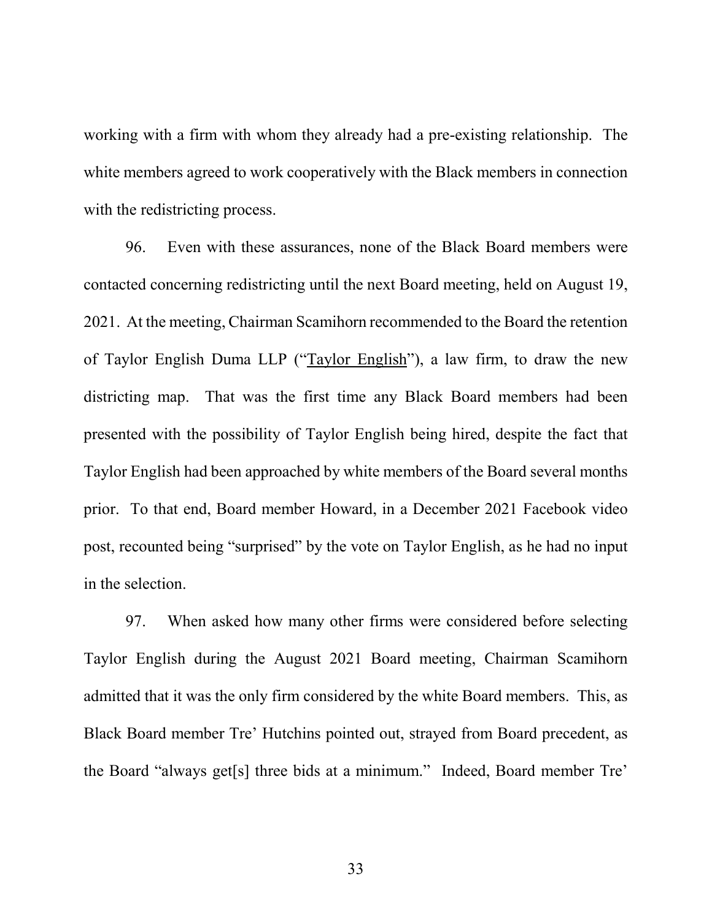working with a firm with whom they already had a pre-existing relationship. The white members agreed to work cooperatively with the Black members in connection with the redistricting process.

96. Even with these assurances, none of the Black Board members were contacted concerning redistricting until the next Board meeting, held on August 19, 2021. At the meeting, Chairman Scamihorn recommended to the Board the retention of Taylor English Duma LLP ("Taylor English"), a law firm, to draw the new districting map. That was the first time any Black Board members had been presented with the possibility of Taylor English being hired, despite the fact that Taylor English had been approached by white members of the Board several months prior. To that end, Board member Howard, in a December 2021 Facebook video post, recounted being "surprised" by the vote on Taylor English, as he had no input in the selection.

97. When asked how many other firms were considered before selecting Taylor English during the August 2021 Board meeting, Chairman Scamihorn admitted that it was the only firm considered by the white Board members. This, as Black Board member Tre' Hutchins pointed out, strayed from Board precedent, as the Board "always get[s] three bids at a minimum." Indeed, Board member Tre'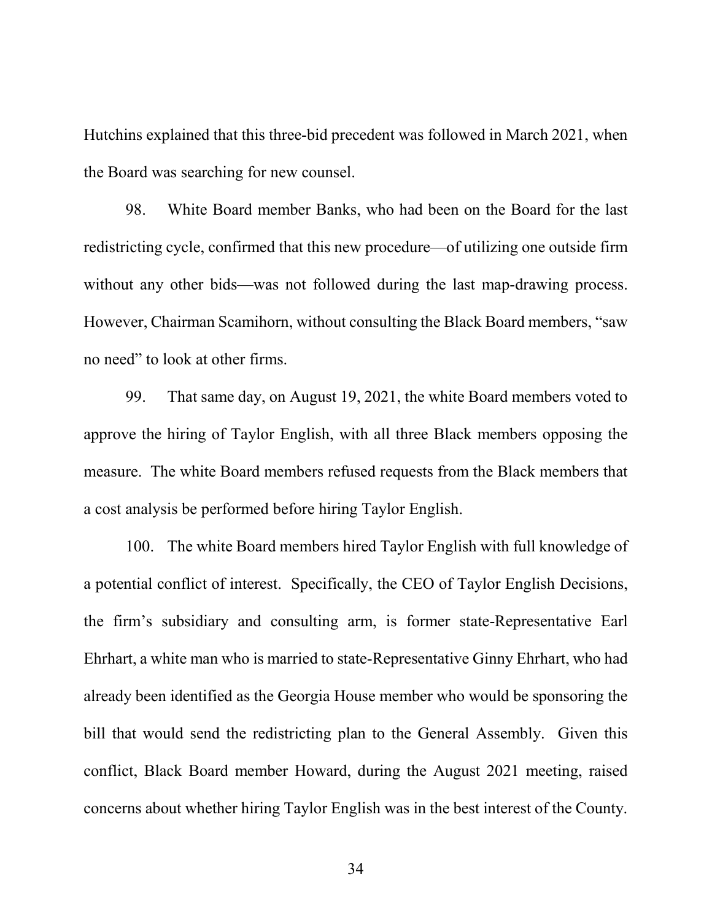Hutchins explained that this three-bid precedent was followed in March 2021, when the Board was searching for new counsel.

98. White Board member Banks, who had been on the Board for the last redistricting cycle, confirmed that this new procedure—of utilizing one outside firm without any other bids—was not followed during the last map-drawing process. However, Chairman Scamihorn, without consulting the Black Board members, "saw no need" to look at other firms.

99. That same day, on August 19, 2021, the white Board members voted to approve the hiring of Taylor English, with all three Black members opposing the measure. The white Board members refused requests from the Black members that a cost analysis be performed before hiring Taylor English.

100. The white Board members hired Taylor English with full knowledge of a potential conflict of interest. Specifically, the CEO of Taylor English Decisions, the firm's subsidiary and consulting arm, is former state-Representative Earl Ehrhart, a white man who is married to state-Representative Ginny Ehrhart, who had already been identified as the Georgia House member who would be sponsoring the bill that would send the redistricting plan to the General Assembly. Given this conflict, Black Board member Howard, during the August 2021 meeting, raised concerns about whether hiring Taylor English was in the best interest of the County.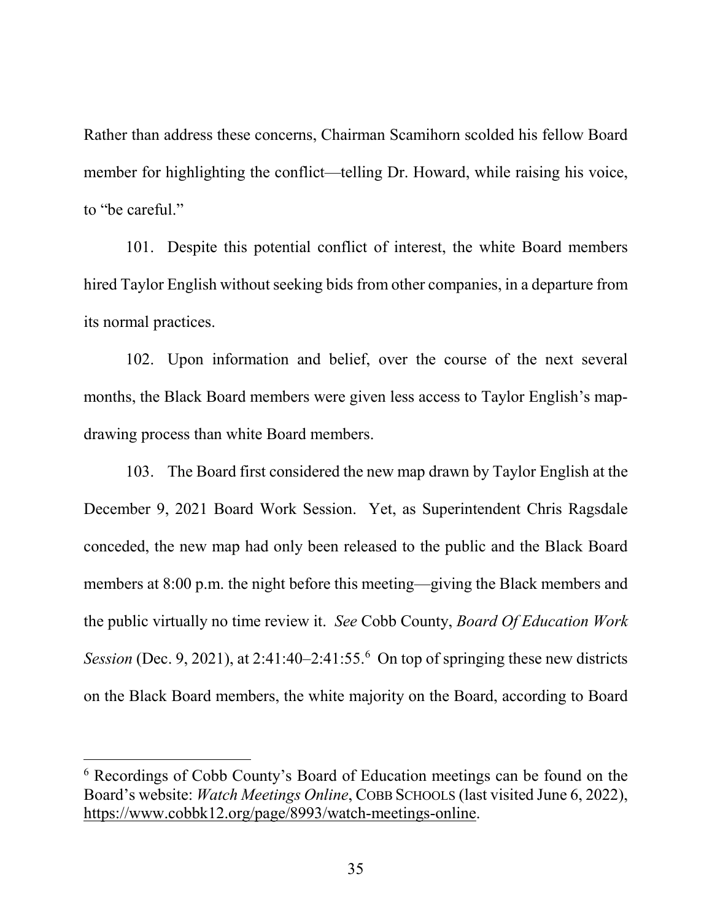Rather than address these concerns, Chairman Scamihorn scolded his fellow Board member for highlighting the conflict—telling Dr. Howard, while raising his voice, to "be careful."

101. Despite this potential conflict of interest, the white Board members hired Taylor English without seeking bids from other companies, in a departure from its normal practices.

102. Upon information and belief, over the course of the next several months, the Black Board members were given less access to Taylor English's mapdrawing process than white Board members.

103. The Board first considered the new map drawn by Taylor English at the December 9, 2021 Board Work Session. Yet, as Superintendent Chris Ragsdale conceded, the new map had only been released to the public and the Black Board members at 8:00 p.m. the night before this meeting—giving the Black members and the public virtually no time review it. *See* Cobb County, *Board Of Education Work Session* (Dec. 9, 2021), at 2:41:40–2:41:55.<sup>[6](#page-35-0)</sup> On top of springing these new districts on the Black Board members, the white majority on the Board, according to Board

<span id="page-35-0"></span> <sup>6</sup> Recordings of Cobb County's Board of Education meetings can be found on the Board's website: *Watch Meetings Online*, COBB SCHOOLS (last visited June 6, 2022), https://www.cobbk12.org/page/8993/watch-meetings-online.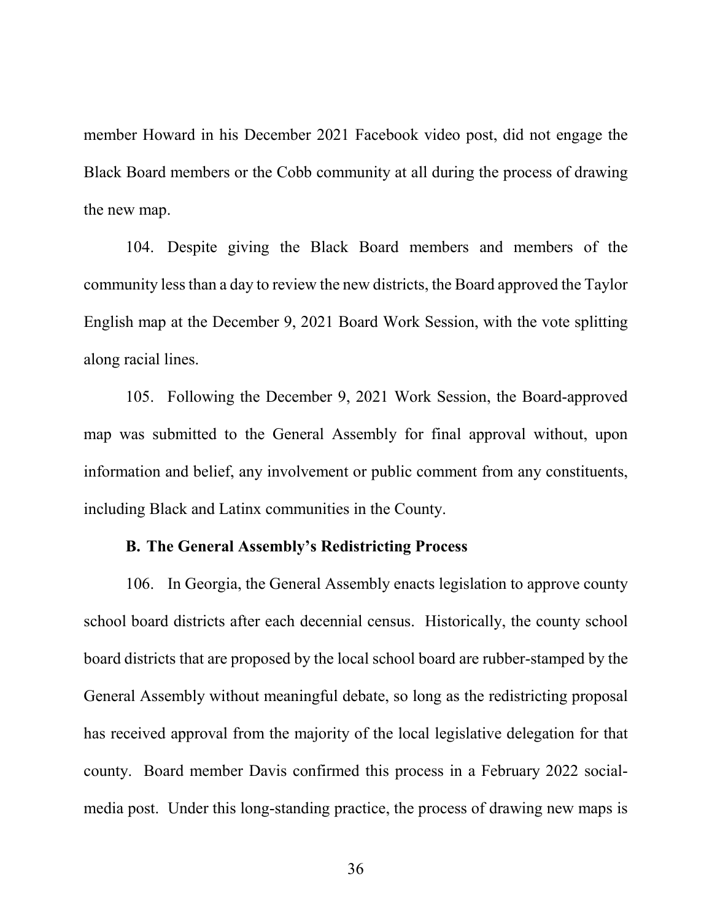member Howard in his December 2021 Facebook video post, did not engage the Black Board members or the Cobb community at all during the process of drawing the new map.

104. Despite giving the Black Board members and members of the community less than a day to review the new districts, the Board approved the Taylor English map at the December 9, 2021 Board Work Session, with the vote splitting along racial lines.

105. Following the December 9, 2021 Work Session, the Board-approved map was submitted to the General Assembly for final approval without, upon information and belief, any involvement or public comment from any constituents, including Black and Latinx communities in the County.

### **B. The General Assembly's Redistricting Process**

106. In Georgia, the General Assembly enacts legislation to approve county school board districts after each decennial census. Historically, the county school board districts that are proposed by the local school board are rubber-stamped by the General Assembly without meaningful debate, so long as the redistricting proposal has received approval from the majority of the local legislative delegation for that county. Board member Davis confirmed this process in a February 2022 socialmedia post. Under this long-standing practice, the process of drawing new maps is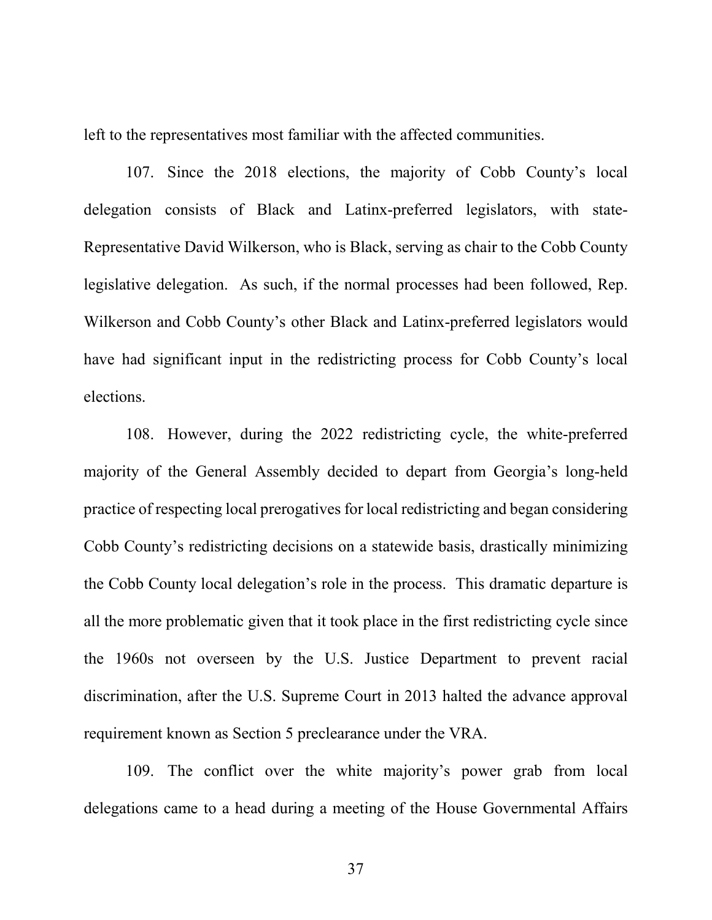left to the representatives most familiar with the affected communities.

107. Since the 2018 elections, the majority of Cobb County's local delegation consists of Black and Latinx-preferred legislators, with state-Representative David Wilkerson, who is Black, serving as chair to the Cobb County legislative delegation. As such, if the normal processes had been followed, Rep. Wilkerson and Cobb County's other Black and Latinx-preferred legislators would have had significant input in the redistricting process for Cobb County's local elections.

108. However, during the 2022 redistricting cycle, the white-preferred majority of the General Assembly decided to depart from Georgia's long-held practice of respecting local prerogatives for local redistricting and began considering Cobb County's redistricting decisions on a statewide basis, drastically minimizing the Cobb County local delegation's role in the process. This dramatic departure is all the more problematic given that it took place in the first redistricting cycle since the 1960s not overseen by the U.S. Justice Department to prevent racial discrimination, after the U.S. Supreme Court in 2013 halted the advance approval requirement known as Section 5 preclearance under the VRA.

109. The conflict over the white majority's power grab from local delegations came to a head during a meeting of the House Governmental Affairs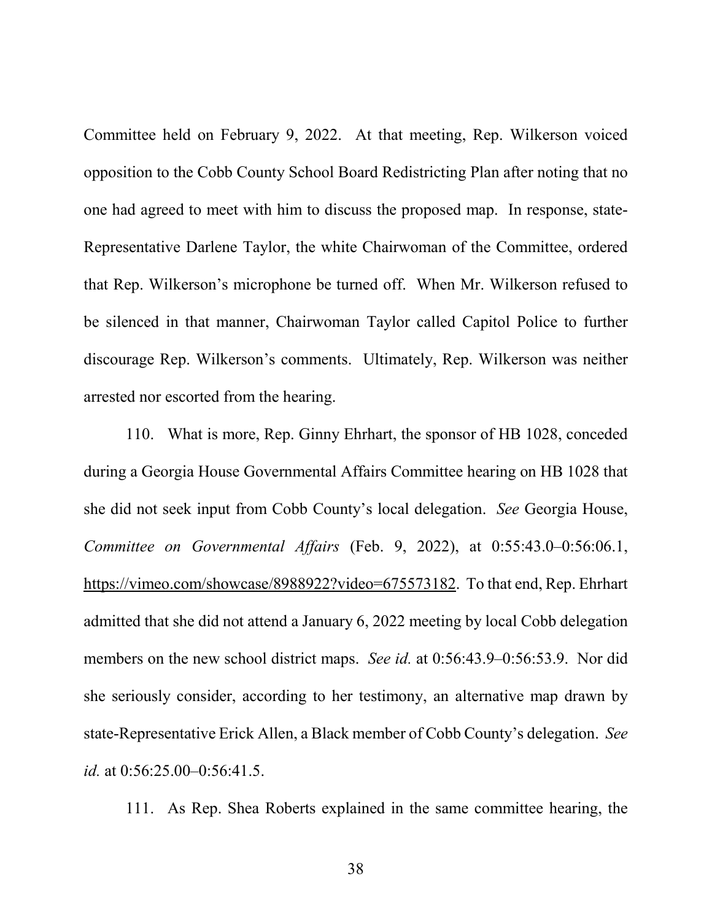Committee held on February 9, 2022. At that meeting, Rep. Wilkerson voiced opposition to the Cobb County School Board Redistricting Plan after noting that no one had agreed to meet with him to discuss the proposed map. In response, state-Representative Darlene Taylor, the white Chairwoman of the Committee, ordered that Rep. Wilkerson's microphone be turned off. When Mr. Wilkerson refused to be silenced in that manner, Chairwoman Taylor called Capitol Police to further discourage Rep. Wilkerson's comments. Ultimately, Rep. Wilkerson was neither arrested nor escorted from the hearing.

110. What is more, Rep. Ginny Ehrhart, the sponsor of HB 1028, conceded during a Georgia House Governmental Affairs Committee hearing on HB 1028 that she did not seek input from Cobb County's local delegation. *See* Georgia House, *Committee on Governmental Affairs* (Feb. 9, 2022), at 0:55:43.0–0:56:06.1, https://vimeo.com/showcase/8988922?video=675573182. To that end, Rep. Ehrhart admitted that she did not attend a January 6, 2022 meeting by local Cobb delegation members on the new school district maps. *See id.* at 0:56:43.9–0:56:53.9. Nor did she seriously consider, according to her testimony, an alternative map drawn by state-Representative Erick Allen, a Black member of Cobb County's delegation. *See id.* at 0:56:25.00–0:56:41.5.

111. As Rep. Shea Roberts explained in the same committee hearing, the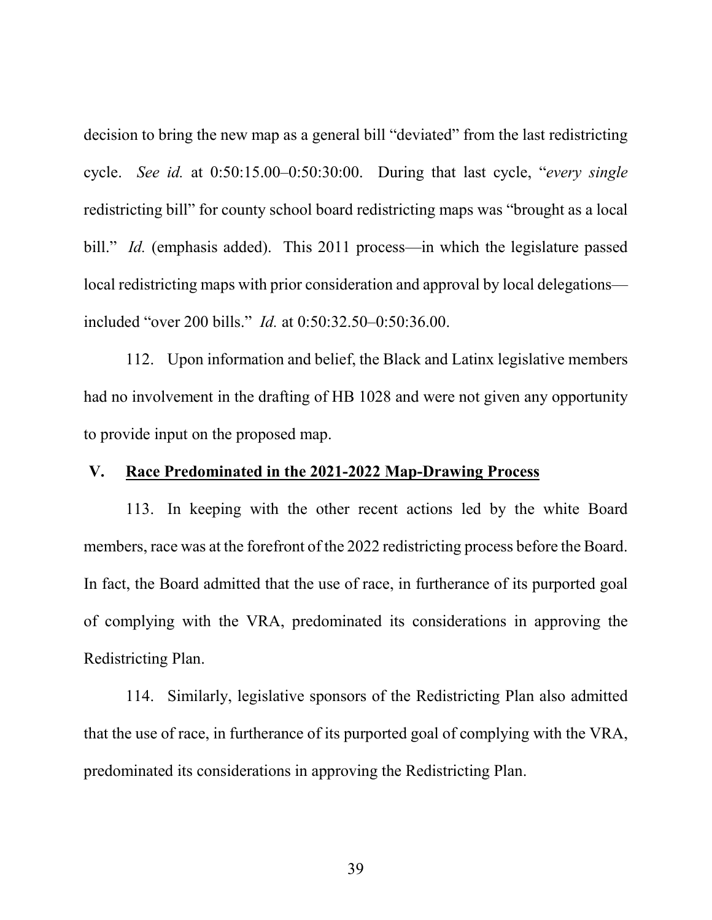decision to bring the new map as a general bill "deviated" from the last redistricting cycle. *See id.* at 0:50:15.00–0:50:30:00. During that last cycle, "*every single* redistricting bill" for county school board redistricting maps was "brought as a local bill." *Id.* (emphasis added). This 2011 process—in which the legislature passed local redistricting maps with prior consideration and approval by local delegations included "over 200 bills." *Id.* at 0:50:32.50–0:50:36.00.

112. Upon information and belief, the Black and Latinx legislative members had no involvement in the drafting of HB 1028 and were not given any opportunity to provide input on the proposed map.

### **V. Race Predominated in the 2021-2022 Map-Drawing Process**

113. In keeping with the other recent actions led by the white Board members, race was at the forefront of the 2022 redistricting process before the Board. In fact, the Board admitted that the use of race, in furtherance of its purported goal of complying with the VRA, predominated its considerations in approving the Redistricting Plan.

114. Similarly, legislative sponsors of the Redistricting Plan also admitted that the use of race, in furtherance of its purported goal of complying with the VRA, predominated its considerations in approving the Redistricting Plan.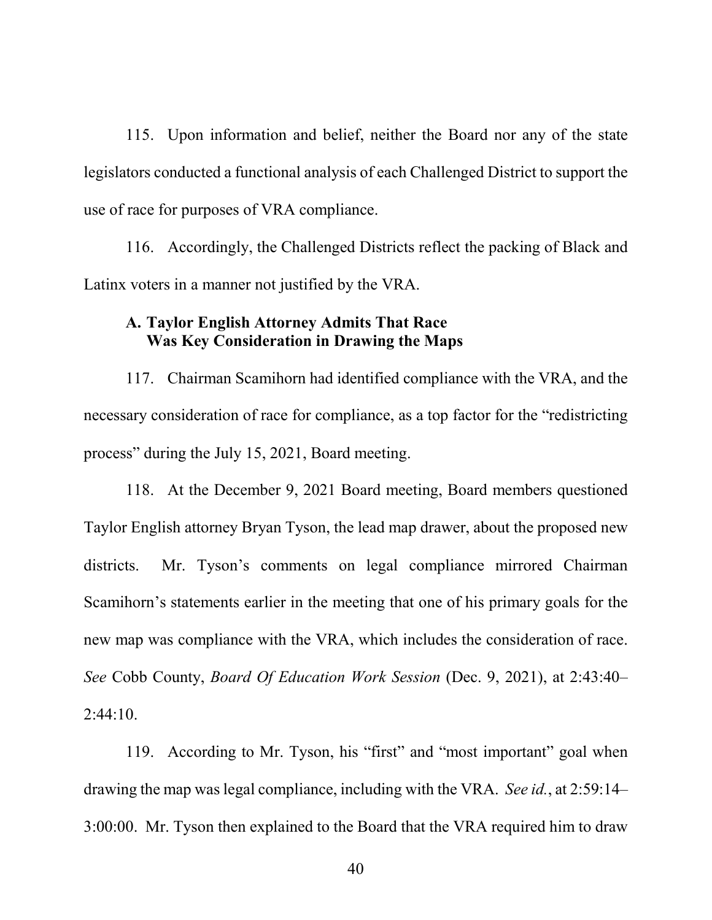115. Upon information and belief, neither the Board nor any of the state legislators conducted a functional analysis of each Challenged District to support the use of race for purposes of VRA compliance.

116. Accordingly, the Challenged Districts reflect the packing of Black and Latinx voters in a manner not justified by the VRA.

## **A. Taylor English Attorney Admits That Race Was Key Consideration in Drawing the Maps**

117. Chairman Scamihorn had identified compliance with the VRA, and the necessary consideration of race for compliance, as a top factor for the "redistricting process" during the July 15, 2021, Board meeting.

118. At the December 9, 2021 Board meeting, Board members questioned Taylor English attorney Bryan Tyson, the lead map drawer, about the proposed new districts. Mr. Tyson's comments on legal compliance mirrored Chairman Scamihorn's statements earlier in the meeting that one of his primary goals for the new map was compliance with the VRA, which includes the consideration of race. *See* Cobb County, *Board Of Education Work Session* (Dec. 9, 2021), at 2:43:40– 2:44:10.

119. According to Mr. Tyson, his "first" and "most important" goal when drawing the map was legal compliance, including with the VRA. *See id.*, at 2:59:14– 3:00:00. Mr. Tyson then explained to the Board that the VRA required him to draw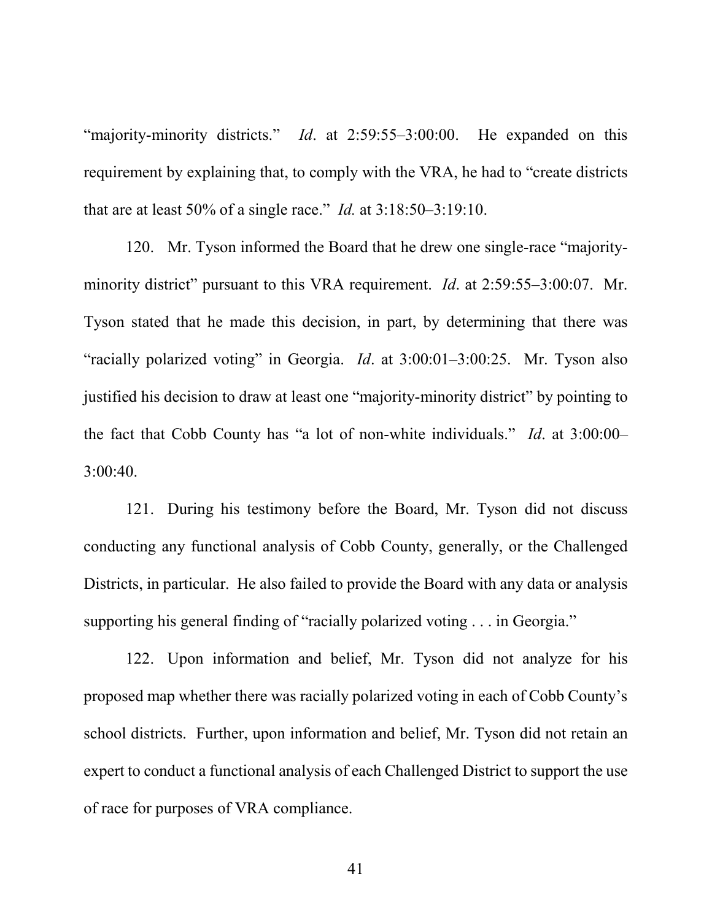"majority-minority districts." *Id*. at 2:59:55–3:00:00. He expanded on this requirement by explaining that, to comply with the VRA, he had to "create districts that are at least 50% of a single race." *Id.* at 3:18:50–3:19:10.

120. Mr. Tyson informed the Board that he drew one single-race "majorityminority district" pursuant to this VRA requirement. *Id*. at 2:59:55–3:00:07. Mr. Tyson stated that he made this decision, in part, by determining that there was "racially polarized voting" in Georgia. *Id*. at 3:00:01–3:00:25. Mr. Tyson also justified his decision to draw at least one "majority-minority district" by pointing to the fact that Cobb County has "a lot of non-white individuals." *Id*. at 3:00:00– 3:00:40.

121. During his testimony before the Board, Mr. Tyson did not discuss conducting any functional analysis of Cobb County, generally, or the Challenged Districts, in particular. He also failed to provide the Board with any data or analysis supporting his general finding of "racially polarized voting . . . in Georgia."

122. Upon information and belief, Mr. Tyson did not analyze for his proposed map whether there was racially polarized voting in each of Cobb County's school districts. Further, upon information and belief, Mr. Tyson did not retain an expert to conduct a functional analysis of each Challenged District to support the use of race for purposes of VRA compliance.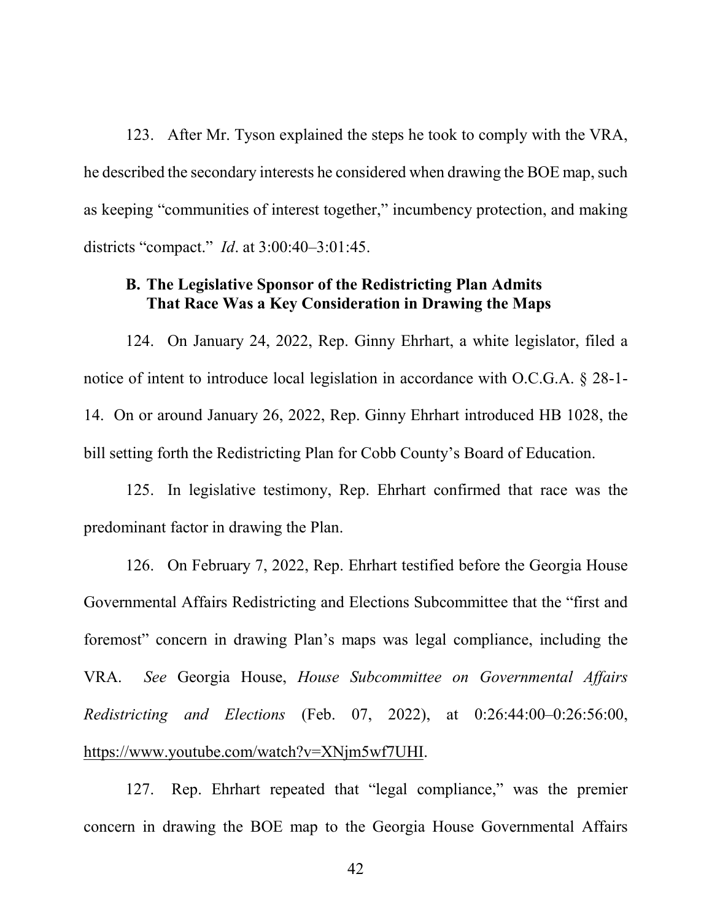123. After Mr. Tyson explained the steps he took to comply with the VRA, he described the secondary interests he considered when drawing the BOE map, such as keeping "communities of interest together," incumbency protection, and making districts "compact." *Id*. at 3:00:40–3:01:45.

# **B. The Legislative Sponsor of the Redistricting Plan Admits That Race Was a Key Consideration in Drawing the Maps**

124. On January 24, 2022, Rep. Ginny Ehrhart, a white legislator, filed a notice of intent to introduce local legislation in accordance with O.C.G.A. § 28-1- 14. On or around January 26, 2022, Rep. Ginny Ehrhart introduced HB 1028, the bill setting forth the Redistricting Plan for Cobb County's Board of Education.

125. In legislative testimony, Rep. Ehrhart confirmed that race was the predominant factor in drawing the Plan.

126. On February 7, 2022, Rep. Ehrhart testified before the Georgia House Governmental Affairs Redistricting and Elections Subcommittee that the "first and foremost" concern in drawing Plan's maps was legal compliance, including the VRA. *See* Georgia House, *House Subcommittee on Governmental Affairs Redistricting and Elections* (Feb. 07, 2022), at 0:26:44:00–0:26:56:00, https://www.youtube.com/watch?v=XNjm5wf7UHI.

127. Rep. Ehrhart repeated that "legal compliance," was the premier concern in drawing the BOE map to the Georgia House Governmental Affairs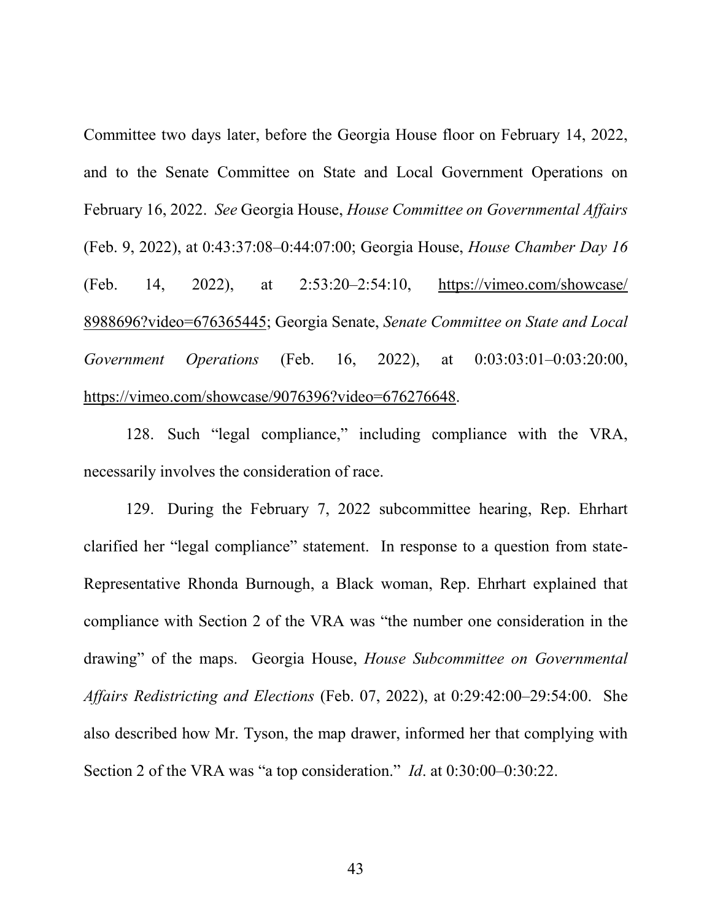Committee two days later, before the Georgia House floor on February 14, 2022, and to the Senate Committee on State and Local Government Operations on February 16, 2022. *See* Georgia House, *House Committee on Governmental Affairs* (Feb. 9, 2022), at 0:43:37:08–0:44:07:00; Georgia House, *House Chamber Day 16* (Feb. 14, 2022), at 2:53:20–2:54:10, https://vimeo.com/showcase/ 8988696?video=676365445; Georgia Senate, *Senate Committee on State and Local Government Operations* (Feb. 16, 2022), at 0:03:03:01–0:03:20:00, https://vimeo.com/showcase/9076396?video=676276648.

128. Such "legal compliance," including compliance with the VRA, necessarily involves the consideration of race.

129. During the February 7, 2022 subcommittee hearing, Rep. Ehrhart clarified her "legal compliance" statement. In response to a question from state-Representative Rhonda Burnough, a Black woman, Rep. Ehrhart explained that compliance with Section 2 of the VRA was "the number one consideration in the drawing" of the maps. Georgia House, *House Subcommittee on Governmental Affairs Redistricting and Elections* (Feb. 07, 2022), at 0:29:42:00–29:54:00. She also described how Mr. Tyson, the map drawer, informed her that complying with Section 2 of the VRA was "a top consideration." *Id*. at 0:30:00–0:30:22.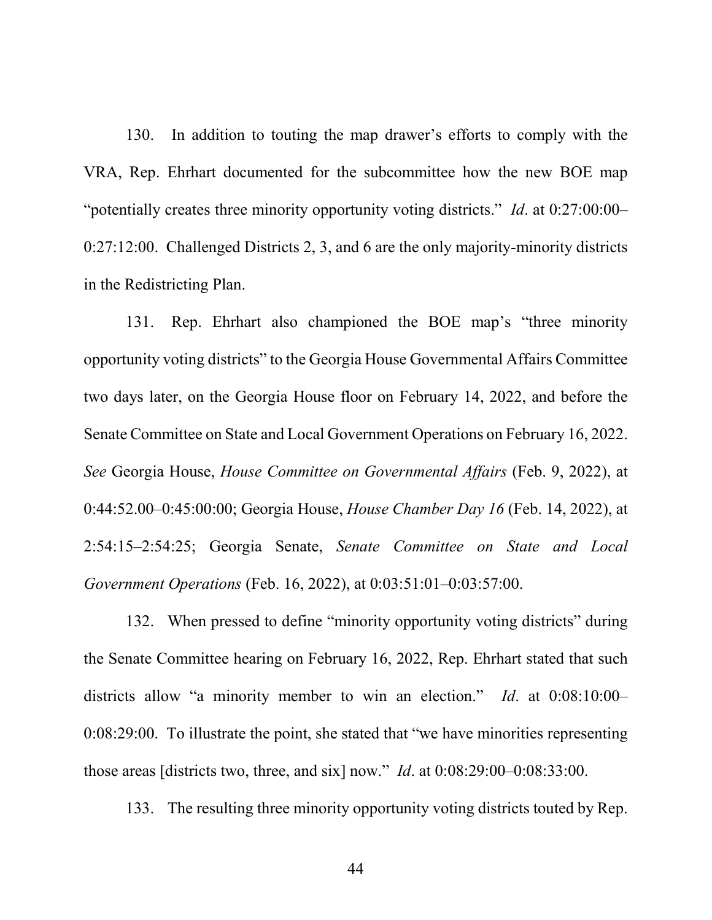130. In addition to touting the map drawer's efforts to comply with the VRA, Rep. Ehrhart documented for the subcommittee how the new BOE map "potentially creates three minority opportunity voting districts." *Id*. at 0:27:00:00– 0:27:12:00. Challenged Districts 2, 3, and 6 are the only majority-minority districts in the Redistricting Plan.

131. Rep. Ehrhart also championed the BOE map's "three minority opportunity voting districts" to the Georgia House Governmental Affairs Committee two days later, on the Georgia House floor on February 14, 2022, and before the Senate Committee on State and Local Government Operations on February 16, 2022. *See* Georgia House, *House Committee on Governmental Affairs* (Feb. 9, 2022), at 0:44:52.00–0:45:00:00; Georgia House, *House Chamber Day 16* (Feb. 14, 2022), at 2:54:15–2:54:25; Georgia Senate, *Senate Committee on State and Local Government Operations* (Feb. 16, 2022), at 0:03:51:01–0:03:57:00.

132. When pressed to define "minority opportunity voting districts" during the Senate Committee hearing on February 16, 2022, Rep. Ehrhart stated that such districts allow "a minority member to win an election." *Id*. at 0:08:10:00– 0:08:29:00. To illustrate the point, she stated that "we have minorities representing those areas [districts two, three, and six] now." *Id*. at 0:08:29:00–0:08:33:00.

133. The resulting three minority opportunity voting districts touted by Rep.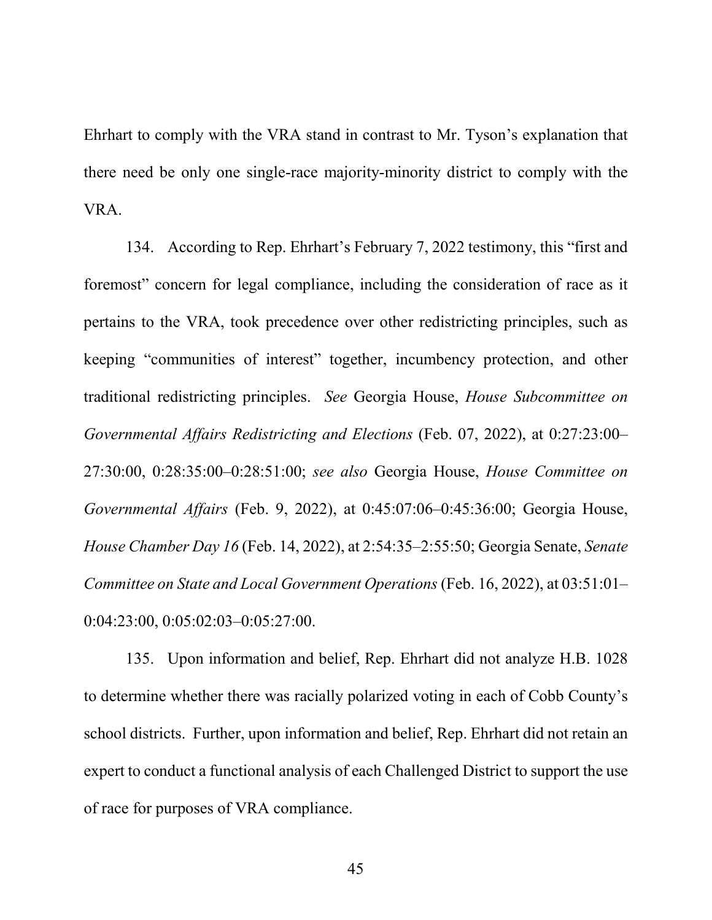Ehrhart to comply with the VRA stand in contrast to Mr. Tyson's explanation that there need be only one single-race majority-minority district to comply with the VRA.

134. According to Rep. Ehrhart's February 7, 2022 testimony, this "first and foremost" concern for legal compliance, including the consideration of race as it pertains to the VRA, took precedence over other redistricting principles, such as keeping "communities of interest" together, incumbency protection, and other traditional redistricting principles. *See* Georgia House, *House Subcommittee on Governmental Affairs Redistricting and Elections* (Feb. 07, 2022), at 0:27:23:00– 27:30:00, 0:28:35:00–0:28:51:00; *see also* Georgia House, *House Committee on Governmental Affairs* (Feb. 9, 2022), at 0:45:07:06–0:45:36:00; Georgia House, *House Chamber Day 16* (Feb. 14, 2022), at 2:54:35–2:55:50; Georgia Senate, *Senate Committee on State and Local Government Operations* (Feb. 16, 2022), at 03:51:01– 0:04:23:00, 0:05:02:03–0:05:27:00.

135. Upon information and belief, Rep. Ehrhart did not analyze H.B. 1028 to determine whether there was racially polarized voting in each of Cobb County's school districts. Further, upon information and belief, Rep. Ehrhart did not retain an expert to conduct a functional analysis of each Challenged District to support the use of race for purposes of VRA compliance.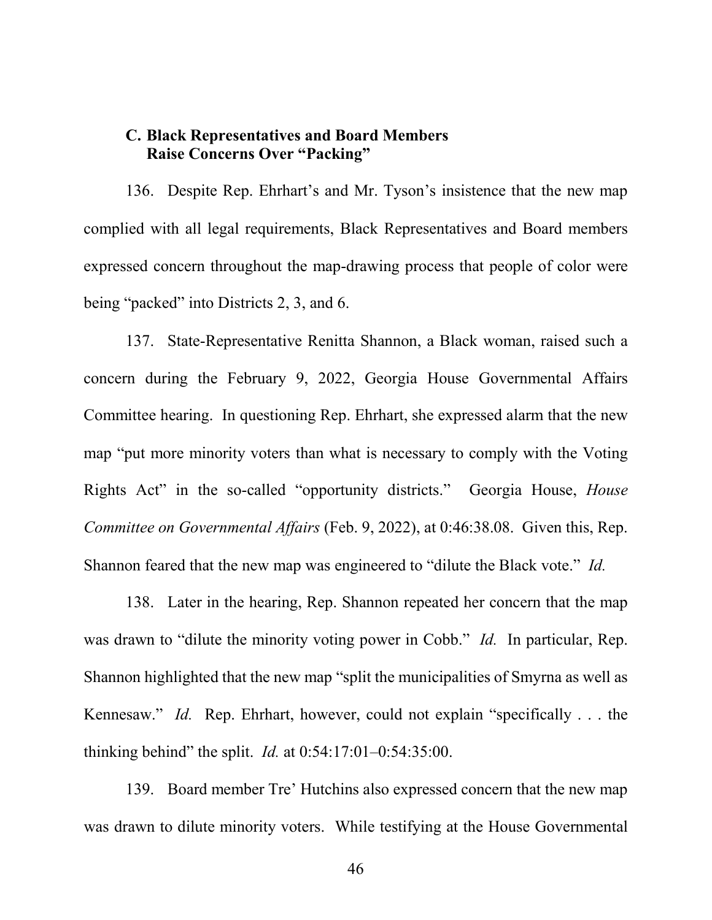### **C. Black Representatives and Board Members Raise Concerns Over "Packing"**

136. Despite Rep. Ehrhart's and Mr. Tyson's insistence that the new map complied with all legal requirements, Black Representatives and Board members expressed concern throughout the map-drawing process that people of color were being "packed" into Districts 2, 3, and 6.

137. State-Representative Renitta Shannon, a Black woman, raised such a concern during the February 9, 2022, Georgia House Governmental Affairs Committee hearing. In questioning Rep. Ehrhart, she expressed alarm that the new map "put more minority voters than what is necessary to comply with the Voting Rights Act" in the so-called "opportunity districts." Georgia House, *House Committee on Governmental Affairs* (Feb. 9, 2022), at 0:46:38.08. Given this, Rep. Shannon feared that the new map was engineered to "dilute the Black vote." *Id.*

138. Later in the hearing, Rep. Shannon repeated her concern that the map was drawn to "dilute the minority voting power in Cobb." *Id.* In particular, Rep. Shannon highlighted that the new map "split the municipalities of Smyrna as well as Kennesaw." *Id.* Rep. Ehrhart, however, could not explain "specifically . . . the thinking behind" the split. *Id.* at 0:54:17:01–0:54:35:00.

139. Board member Tre' Hutchins also expressed concern that the new map was drawn to dilute minority voters. While testifying at the House Governmental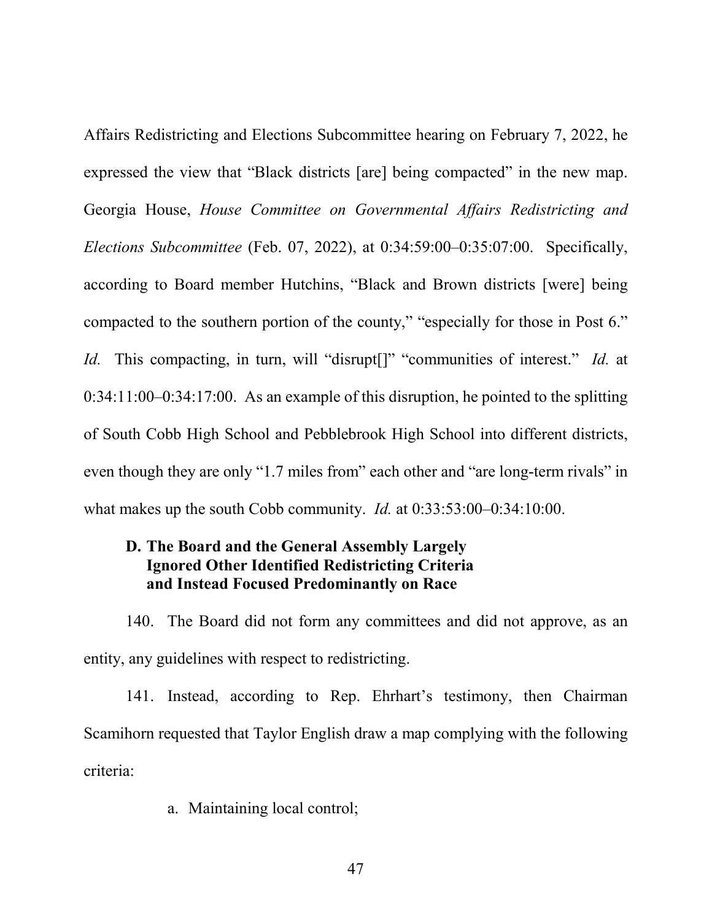Affairs Redistricting and Elections Subcommittee hearing on February 7, 2022, he expressed the view that "Black districts [are] being compacted" in the new map. Georgia House, *House Committee on Governmental Affairs Redistricting and Elections Subcommittee* (Feb. 07, 2022), at 0:34:59:00–0:35:07:00. Specifically, according to Board member Hutchins, "Black and Brown districts [were] being compacted to the southern portion of the county," "especially for those in Post 6." *Id.* This compacting, in turn, will "disrupt<sup>[]"</sup> "communities of interest." *Id.* at 0:34:11:00–0:34:17:00. As an example of this disruption, he pointed to the splitting of South Cobb High School and Pebblebrook High School into different districts, even though they are only "1.7 miles from" each other and "are long-term rivals" in what makes up the south Cobb community. *Id.* at 0:33:53:00–0:34:10:00.

# **D. The Board and the General Assembly Largely Ignored Other Identified Redistricting Criteria and Instead Focused Predominantly on Race**

140. The Board did not form any committees and did not approve, as an entity, any guidelines with respect to redistricting.

141. Instead, according to Rep. Ehrhart's testimony, then Chairman Scamihorn requested that Taylor English draw a map complying with the following criteria:

a. Maintaining local control;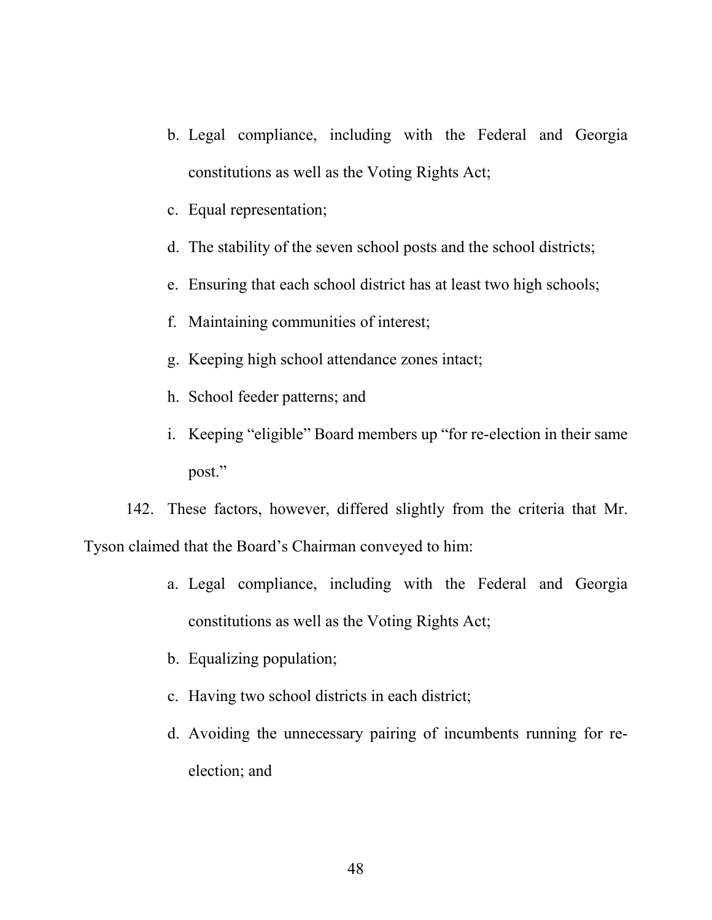- b. Legal compliance, including with the Federal and Georgia constitutions as well as the Voting Rights Act;
- c. Equal representation;
- d. The stability of the seven school posts and the school districts;
- e. Ensuring that each school district has at least two high schools;
- f. Maintaining communities of interest;
- g. Keeping high school attendance zones intact;
- h. School feeder patterns; and
- i. Keeping "eligible" Board members up "for re-election in their same post."

142. These factors, however, differed slightly from the criteria that Mr. Tyson claimed that the Board's Chairman conveyed to him:

- a. Legal compliance, including with the Federal and Georgia constitutions as well as the Voting Rights Act;
- b. Equalizing population;
- c. Having two school districts in each district;
- d. Avoiding the unnecessary pairing of incumbents running for reelection; and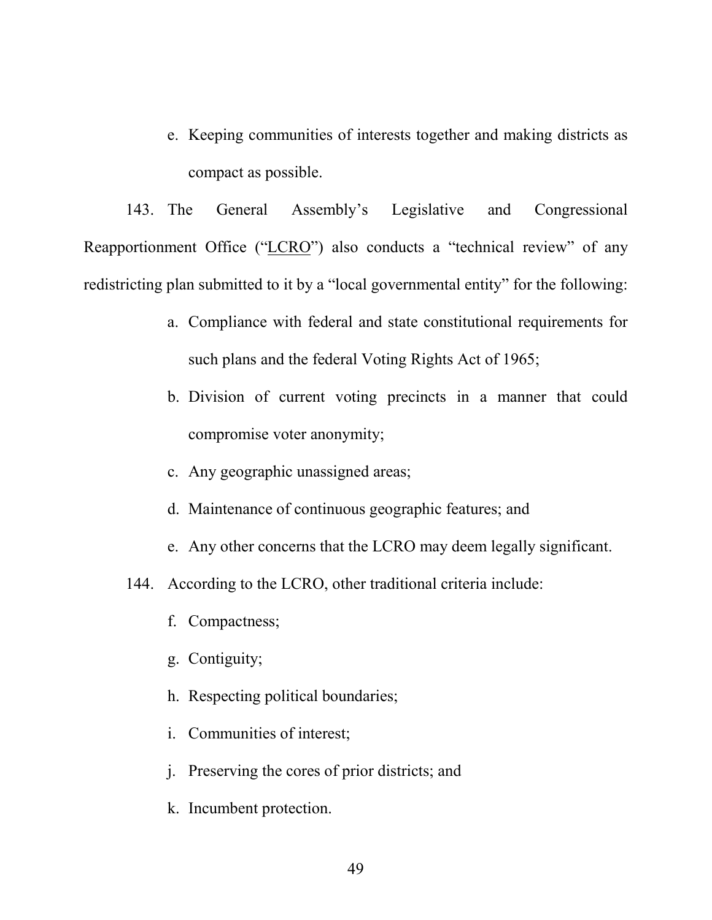e. Keeping communities of interests together and making districts as compact as possible.

143. The General Assembly's Legislative and Congressional Reapportionment Office ("LCRO") also conducts a "technical review" of any redistricting plan submitted to it by a "local governmental entity" for the following:

- a. Compliance with federal and state constitutional requirements for such plans and the federal Voting Rights Act of 1965;
- b. Division of current voting precincts in a manner that could compromise voter anonymity;
- c. Any geographic unassigned areas;
- d. Maintenance of continuous geographic features; and
- e. Any other concerns that the LCRO may deem legally significant.
- 144. According to the LCRO, other traditional criteria include:
	- f. Compactness;
	- g. Contiguity;
	- h. Respecting political boundaries;
	- i. Communities of interest;
	- j. Preserving the cores of prior districts; and
	- k. Incumbent protection.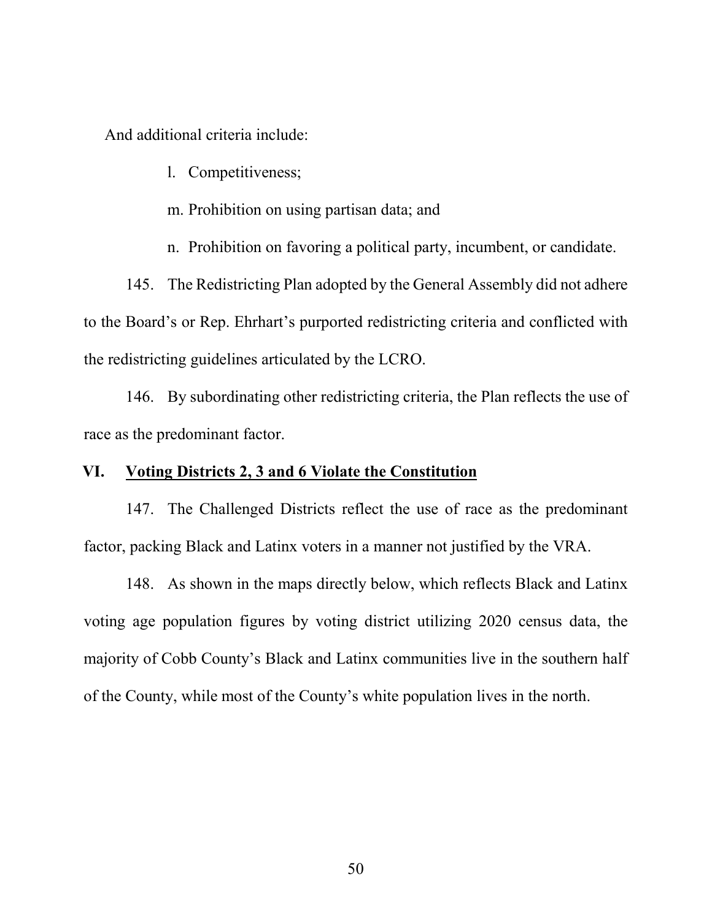And additional criteria include:

l. Competitiveness;

m. Prohibition on using partisan data; and

n. Prohibition on favoring a political party, incumbent, or candidate.

145. The Redistricting Plan adopted by the General Assembly did not adhere to the Board's or Rep. Ehrhart's purported redistricting criteria and conflicted with the redistricting guidelines articulated by the LCRO.

146. By subordinating other redistricting criteria, the Plan reflects the use of race as the predominant factor.

### **VI. Voting Districts 2, 3 and 6 Violate the Constitution**

147. The Challenged Districts reflect the use of race as the predominant factor, packing Black and Latinx voters in a manner not justified by the VRA.

148. As shown in the maps directly below, which reflects Black and Latinx voting age population figures by voting district utilizing 2020 census data, the majority of Cobb County's Black and Latinx communities live in the southern half of the County, while most of the County's white population lives in the north.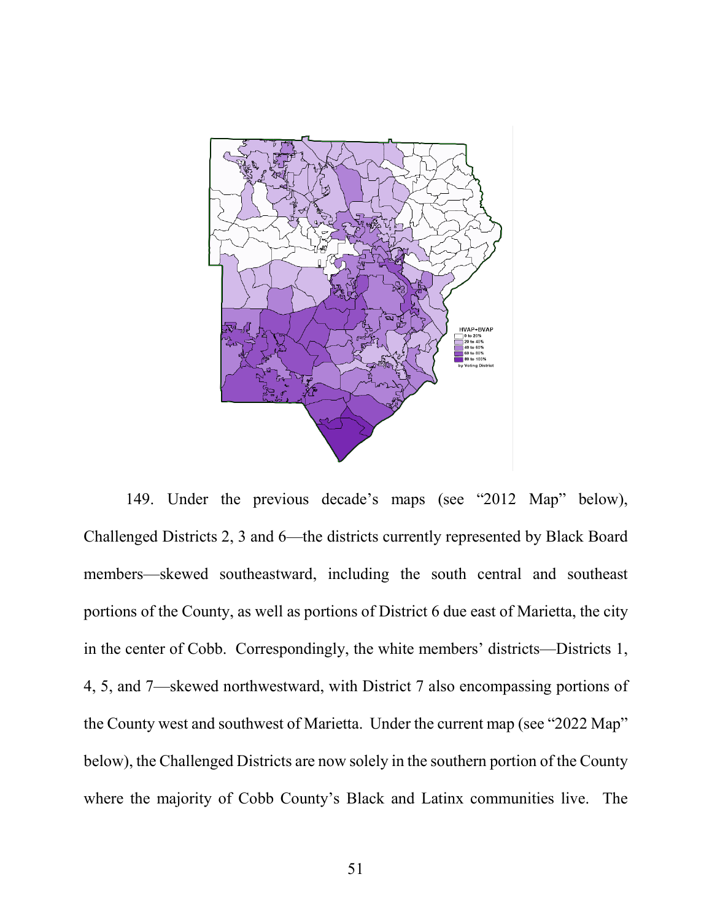

149. Under the previous decade's maps (see "2012 Map" below), Challenged Districts 2, 3 and 6—the districts currently represented by Black Board members—skewed southeastward, including the south central and southeast portions of the County, as well as portions of District 6 due east of Marietta, the city in the center of Cobb. Correspondingly, the white members' districts—Districts 1, 4, 5, and 7—skewed northwestward, with District 7 also encompassing portions of the County west and southwest of Marietta. Under the current map (see "2022 Map" below), the Challenged Districts are now solely in the southern portion of the County where the majority of Cobb County's Black and Latinx communities live. The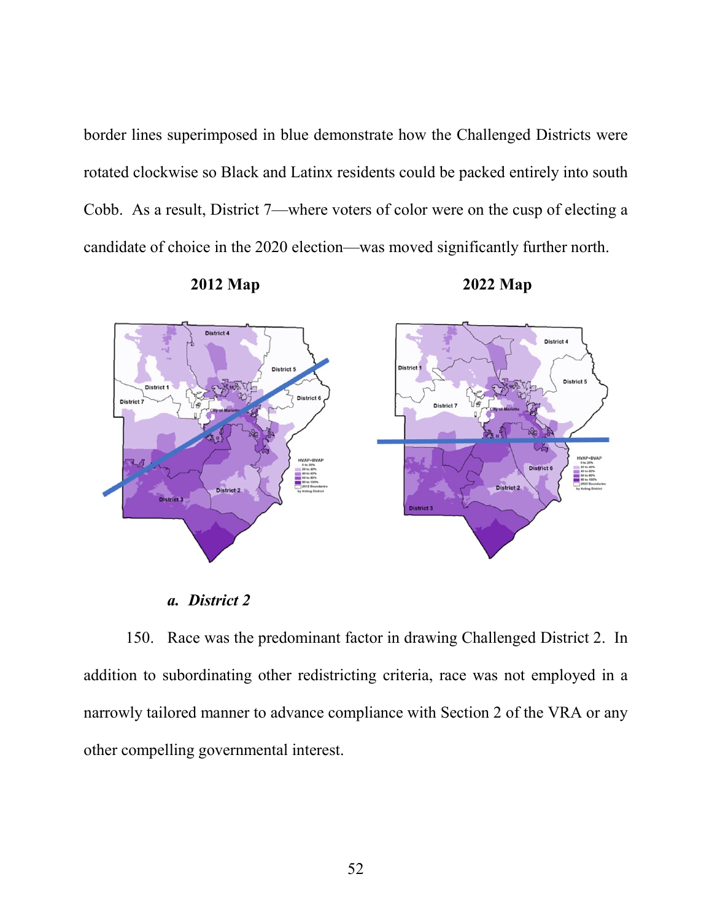border lines superimposed in blue demonstrate how the Challenged Districts were rotated clockwise so Black and Latinx residents could be packed entirely into south Cobb. As a result, District 7—where voters of color were on the cusp of electing a candidate of choice in the 2020 election—was moved significantly further north.



**2012 Map 2022 Map**

*a. District 2* 

150. Race was the predominant factor in drawing Challenged District 2. In addition to subordinating other redistricting criteria, race was not employed in a narrowly tailored manner to advance compliance with Section 2 of the VRA or any other compelling governmental interest.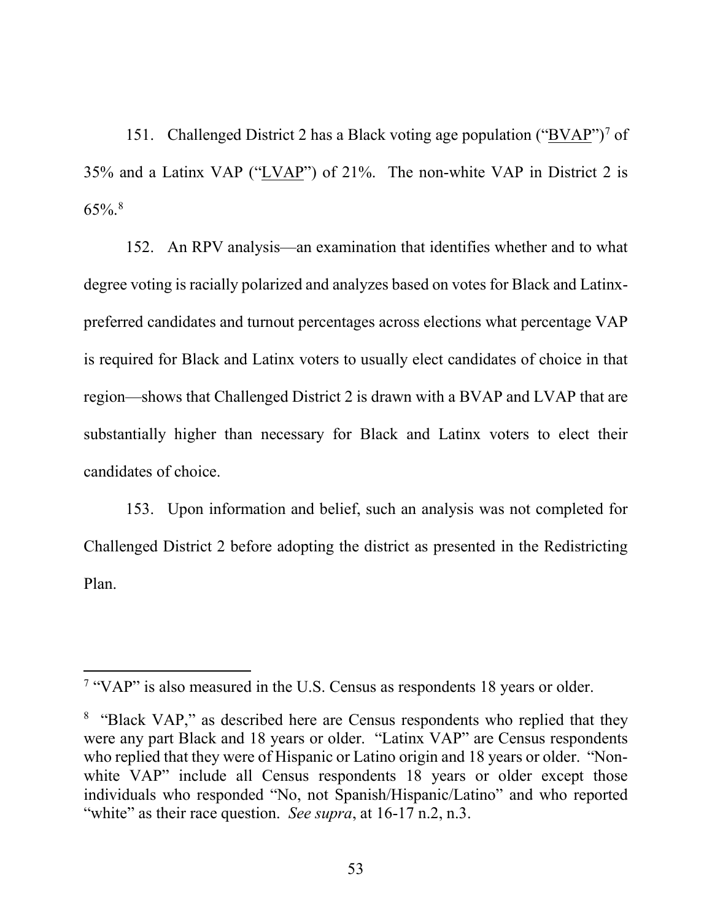151. Challenged District 2 has a Black voting age population (" $BVAR$ ")<sup>[7](#page-53-0)</sup> of 35% and a Latinx VAP ("LVAP") of 21%. The non-white VAP in District 2 is  $65\%$ .<sup>[8](#page-53-1)</sup>

152. An RPV analysis—an examination that identifies whether and to what degree voting is racially polarized and analyzes based on votes for Black and Latinxpreferred candidates and turnout percentages across elections what percentage VAP is required for Black and Latinx voters to usually elect candidates of choice in that region—shows that Challenged District 2 is drawn with a BVAP and LVAP that are substantially higher than necessary for Black and Latinx voters to elect their candidates of choice.

153. Upon information and belief, such an analysis was not completed for Challenged District 2 before adopting the district as presented in the Redistricting Plan.

<span id="page-53-0"></span> <sup>7</sup> "VAP" is also measured in the U.S. Census as respondents 18 years or older.

<span id="page-53-1"></span><sup>&</sup>lt;sup>8</sup> "Black VAP," as described here are Census respondents who replied that they were any part Black and 18 years or older. "Latinx VAP" are Census respondents who replied that they were of Hispanic or Latino origin and 18 years or older. "Nonwhite VAP" include all Census respondents 18 years or older except those individuals who responded "No, not Spanish/Hispanic/Latino" and who reported "white" as their race question. *See supra*, at 16-17 n.2, n.3.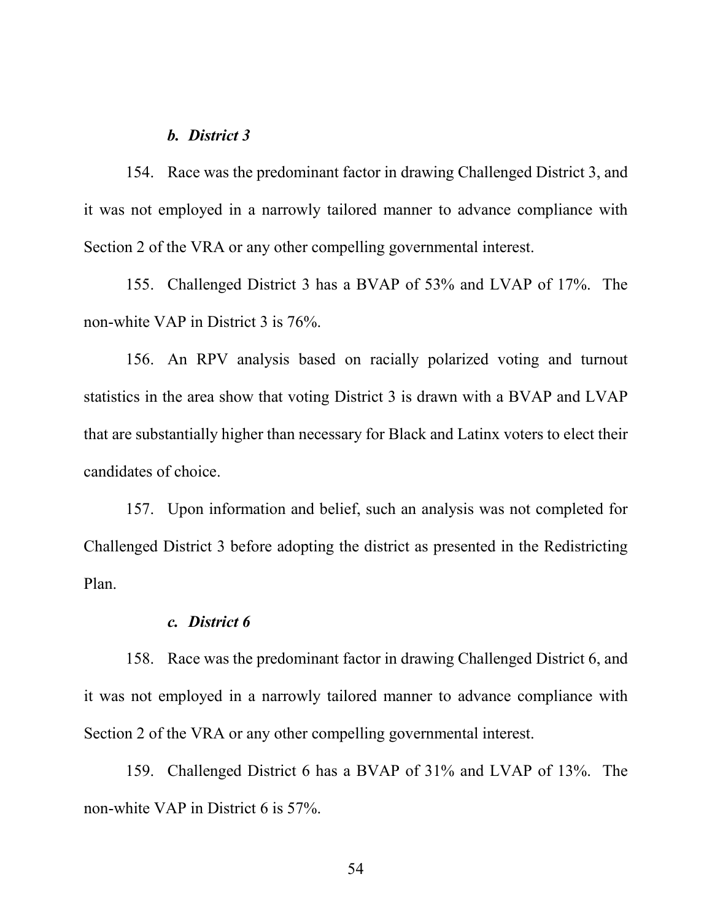#### *b. District 3*

154. Race was the predominant factor in drawing Challenged District 3, and it was not employed in a narrowly tailored manner to advance compliance with Section 2 of the VRA or any other compelling governmental interest.

155. Challenged District 3 has a BVAP of 53% and LVAP of 17%. The non-white VAP in District 3 is 76%.

156. An RPV analysis based on racially polarized voting and turnout statistics in the area show that voting District 3 is drawn with a BVAP and LVAP that are substantially higher than necessary for Black and Latinx voters to elect their candidates of choice.

157. Upon information and belief, such an analysis was not completed for Challenged District 3 before adopting the district as presented in the Redistricting Plan.

#### *c. District 6*

158. Race was the predominant factor in drawing Challenged District 6, and it was not employed in a narrowly tailored manner to advance compliance with Section 2 of the VRA or any other compelling governmental interest.

159. Challenged District 6 has a BVAP of 31% and LVAP of 13%. The non-white VAP in District 6 is 57%.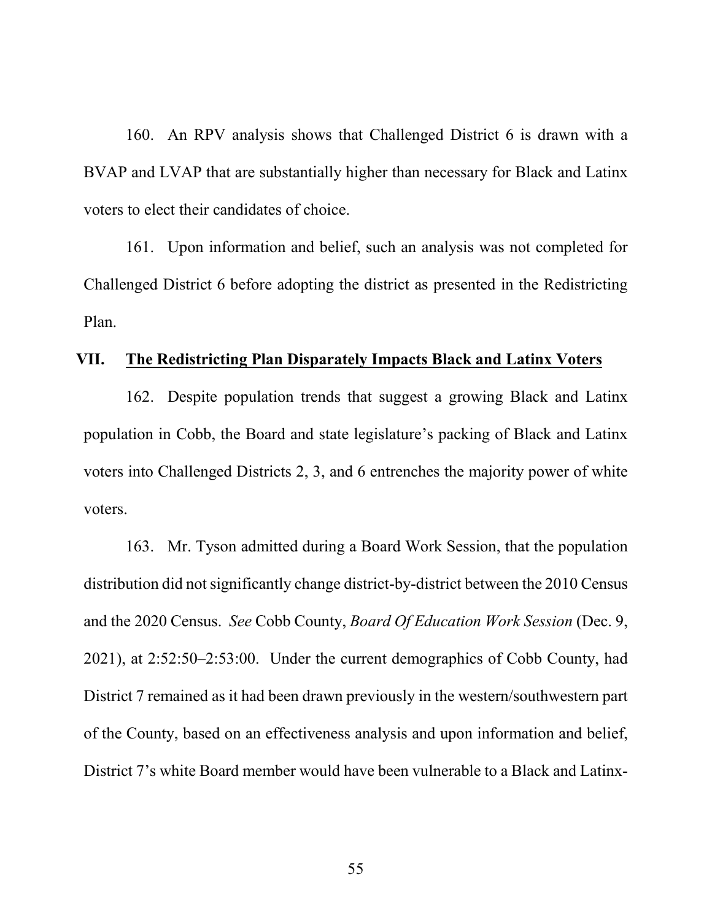160. An RPV analysis shows that Challenged District 6 is drawn with a BVAP and LVAP that are substantially higher than necessary for Black and Latinx voters to elect their candidates of choice.

161. Upon information and belief, such an analysis was not completed for Challenged District 6 before adopting the district as presented in the Redistricting Plan.

### **VII. The Redistricting Plan Disparately Impacts Black and Latinx Voters**

162. Despite population trends that suggest a growing Black and Latinx population in Cobb, the Board and state legislature's packing of Black and Latinx voters into Challenged Districts 2, 3, and 6 entrenches the majority power of white voters.

163. Mr. Tyson admitted during a Board Work Session, that the population distribution did not significantly change district-by-district between the 2010 Census and the 2020 Census. *See* Cobb County, *Board Of Education Work Session* (Dec. 9, 2021), at 2:52:50–2:53:00. Under the current demographics of Cobb County, had District 7 remained as it had been drawn previously in the western/southwestern part of the County, based on an effectiveness analysis and upon information and belief, District 7's white Board member would have been vulnerable to a Black and Latinx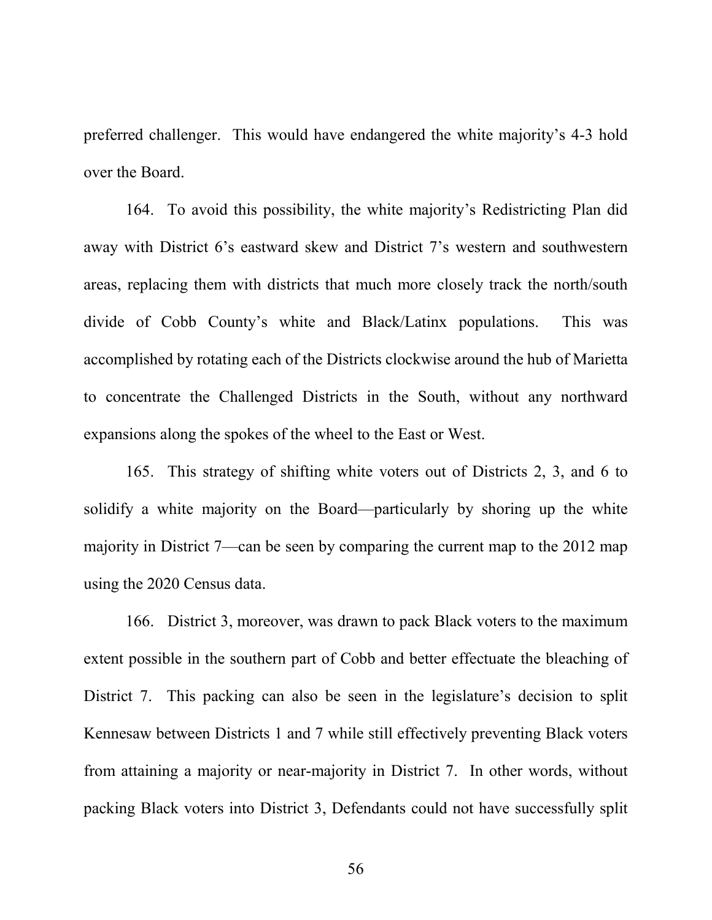preferred challenger. This would have endangered the white majority's 4-3 hold over the Board.

164. To avoid this possibility, the white majority's Redistricting Plan did away with District 6's eastward skew and District 7's western and southwestern areas, replacing them with districts that much more closely track the north/south divide of Cobb County's white and Black/Latinx populations. This was accomplished by rotating each of the Districts clockwise around the hub of Marietta to concentrate the Challenged Districts in the South, without any northward expansions along the spokes of the wheel to the East or West.

165. This strategy of shifting white voters out of Districts 2, 3, and 6 to solidify a white majority on the Board—particularly by shoring up the white majority in District 7—can be seen by comparing the current map to the 2012 map using the 2020 Census data.

166. District 3, moreover, was drawn to pack Black voters to the maximum extent possible in the southern part of Cobb and better effectuate the bleaching of District 7. This packing can also be seen in the legislature's decision to split Kennesaw between Districts 1 and 7 while still effectively preventing Black voters from attaining a majority or near-majority in District 7. In other words, without packing Black voters into District 3, Defendants could not have successfully split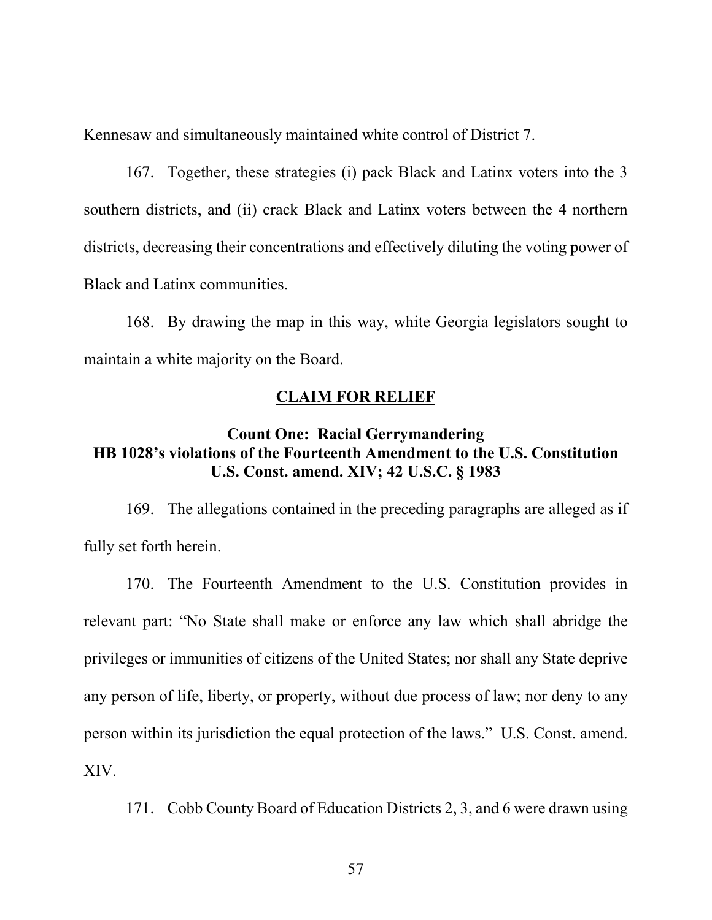Kennesaw and simultaneously maintained white control of District 7.

167. Together, these strategies (i) pack Black and Latinx voters into the 3 southern districts, and (ii) crack Black and Latinx voters between the 4 northern districts, decreasing their concentrations and effectively diluting the voting power of Black and Latinx communities.

168. By drawing the map in this way, white Georgia legislators sought to maintain a white majority on the Board.

#### **CLAIM FOR RELIEF**

## **Count One: Racial Gerrymandering HB 1028's violations of the Fourteenth Amendment to the U.S. Constitution U.S. Const. amend. XIV; 42 U.S.C. § 1983**

169. The allegations contained in the preceding paragraphs are alleged as if fully set forth herein.

170. The Fourteenth Amendment to the U.S. Constitution provides in relevant part: "No State shall make or enforce any law which shall abridge the privileges or immunities of citizens of the United States; nor shall any State deprive any person of life, liberty, or property, without due process of law; nor deny to any person within its jurisdiction the equal protection of the laws." U.S. Const. amend. XIV.

171. Cobb County Board of Education Districts 2, 3, and 6 were drawn using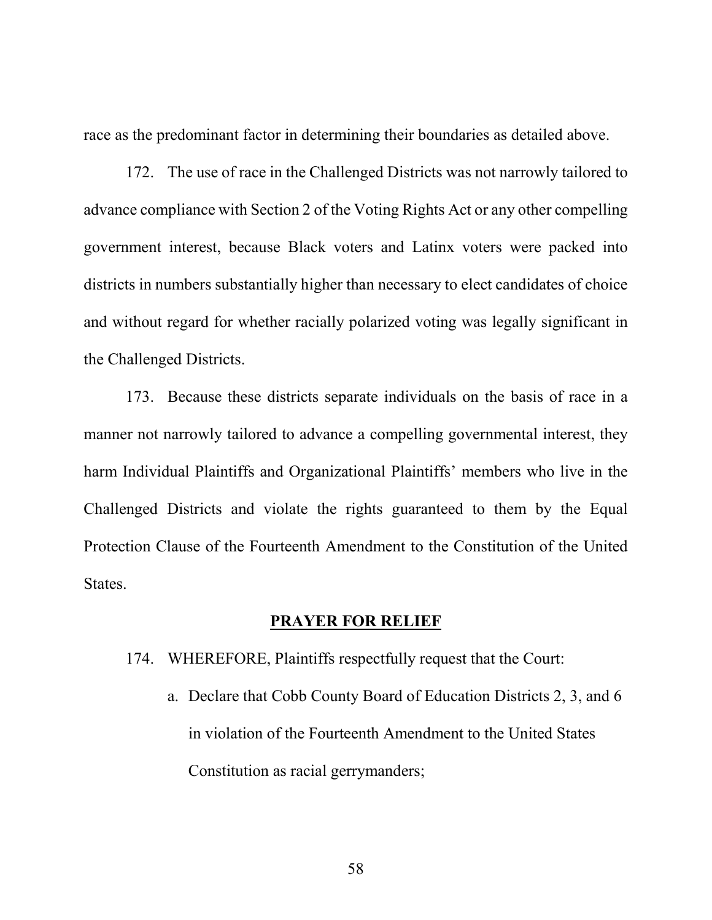race as the predominant factor in determining their boundaries as detailed above.

172. The use of race in the Challenged Districts was not narrowly tailored to advance compliance with Section 2 of the Voting Rights Act or any other compelling government interest, because Black voters and Latinx voters were packed into districts in numbers substantially higher than necessary to elect candidates of choice and without regard for whether racially polarized voting was legally significant in the Challenged Districts.

173. Because these districts separate individuals on the basis of race in a manner not narrowly tailored to advance a compelling governmental interest, they harm Individual Plaintiffs and Organizational Plaintiffs' members who live in the Challenged Districts and violate the rights guaranteed to them by the Equal Protection Clause of the Fourteenth Amendment to the Constitution of the United States.

## **PRAYER FOR RELIEF**

- 174. WHEREFORE, Plaintiffs respectfully request that the Court:
	- a. Declare that Cobb County Board of Education Districts 2, 3, and 6 in violation of the Fourteenth Amendment to the United States Constitution as racial gerrymanders;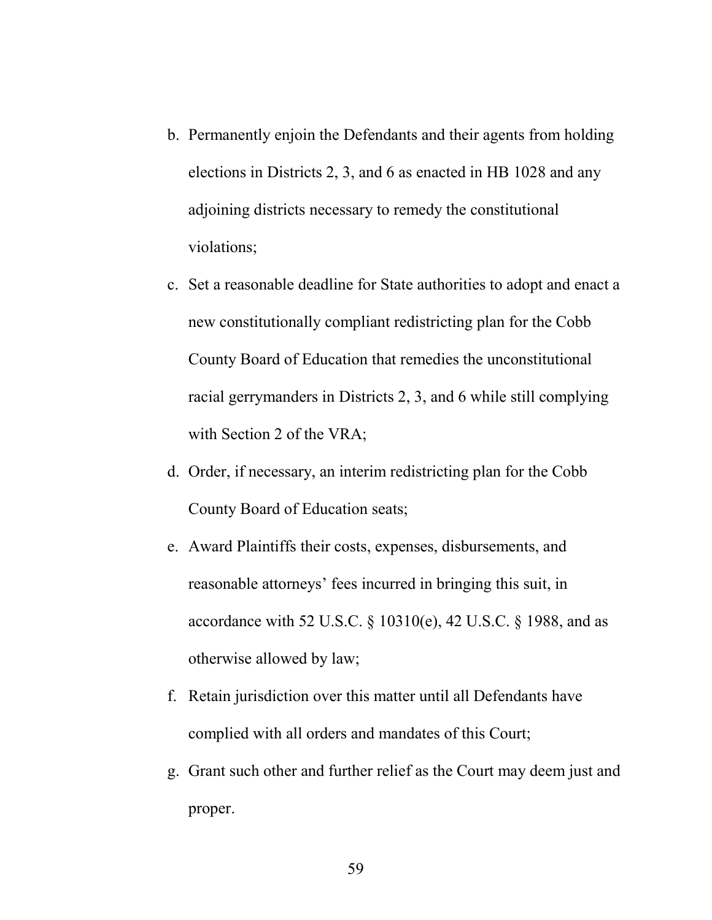- b. Permanently enjoin the Defendants and their agents from holding elections in Districts 2, 3, and 6 as enacted in HB 1028 and any adjoining districts necessary to remedy the constitutional violations;
- c. Set a reasonable deadline for State authorities to adopt and enact a new constitutionally compliant redistricting plan for the Cobb County Board of Education that remedies the unconstitutional racial gerrymanders in Districts 2, 3, and 6 while still complying with Section 2 of the VRA;
- d. Order, if necessary, an interim redistricting plan for the Cobb County Board of Education seats;
- e. Award Plaintiffs their costs, expenses, disbursements, and reasonable attorneys' fees incurred in bringing this suit, in accordance with 52 U.S.C. § 10310(e), 42 U.S.C. § 1988, and as otherwise allowed by law;
- f. Retain jurisdiction over this matter until all Defendants have complied with all orders and mandates of this Court;
- g. Grant such other and further relief as the Court may deem just and proper.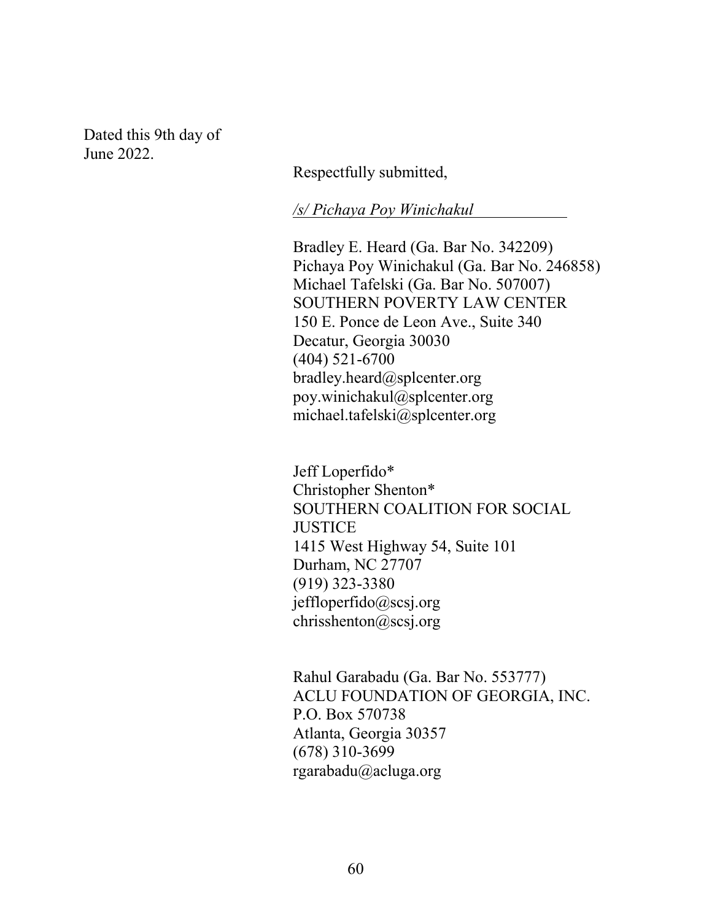Dated this 9th day of June 2022.

Respectfully submitted,

*/s/ Pichaya Poy Winichakul* 

Bradley E. Heard (Ga. Bar No. 342209) Pichaya Poy Winichakul (Ga. Bar No. 246858) Michael Tafelski (Ga. Bar No. 507007) SOUTHERN POVERTY LAW CENTER 150 E. Ponce de Leon Ave., Suite 340 Decatur, Georgia 30030 (404) 521-6700 bradley.heard@splcenter.org poy.winichakul@splcenter.org michael.tafelski@splcenter.org

Jeff Loperfido\* Christopher Shenton\* SOUTHERN COALITION FOR SOCIAL **JUSTICE** 1415 West Highway 54, Suite 101 Durham, NC 27707 (919) 323-3380 jeffloperfido@scsj.org chrisshenton@scsj.org

Rahul Garabadu (Ga. Bar No. 553777) ACLU FOUNDATION OF GEORGIA, INC. P.O. Box 570738 Atlanta, Georgia 30357 (678) 310-3699 rgarabadu@acluga.org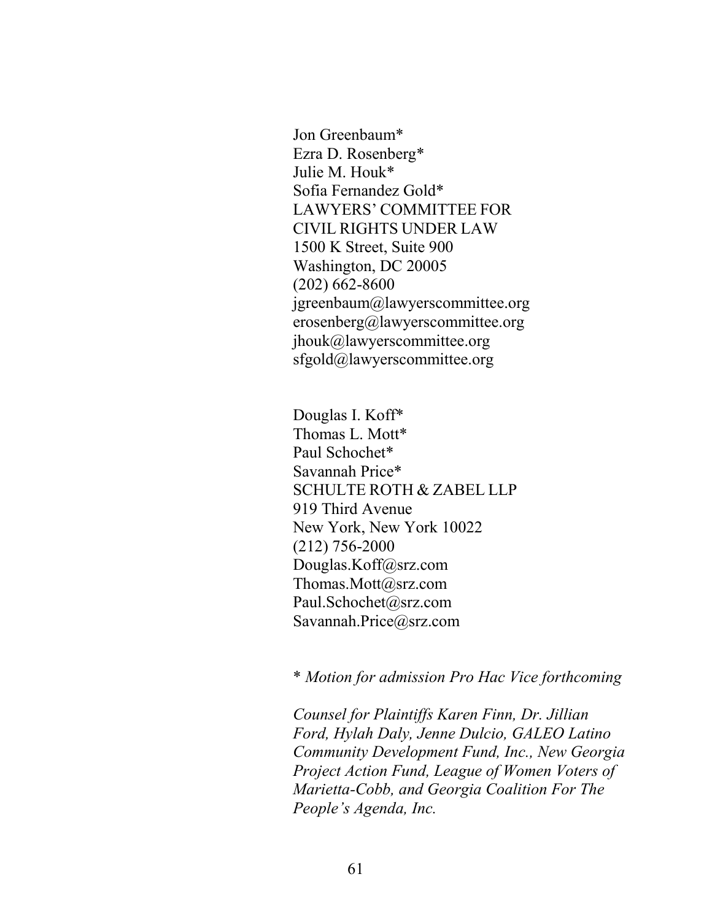Jon Greenbaum\* Ezra D. Rosenberg\* Julie M. Houk\* Sofia Fernandez Gold\* LAWYERS' COMMITTEE FOR CIVIL RIGHTS UNDER LAW 1500 K Street, Suite 900 Washington, DC 20005 (202) 662-8600 jgreenbaum@lawyerscommittee.org erosenberg@lawyerscommittee.org jhouk@lawyerscommittee.org sfgold@lawyerscommittee.org

Douglas I. Koff\* Thomas L. Mott\* Paul Schochet\* Savannah Price\* SCHULTE ROTH & ZABEL LLP 919 Third Avenue New York, New York 10022 (212) 756-2000 Douglas.Koff@srz.com Thomas.Mott@srz.com Paul.Schochet@srz.com Savannah.Price@srz.com

\* *Motion for admission Pro Hac Vice forthcoming*

*Counsel for Plaintiffs Karen Finn, Dr. Jillian Ford, Hylah Daly, Jenne Dulcio, GALEO Latino Community Development Fund, Inc., New Georgia Project Action Fund, League of Women Voters of Marietta-Cobb, and Georgia Coalition For The People's Agenda, Inc.*